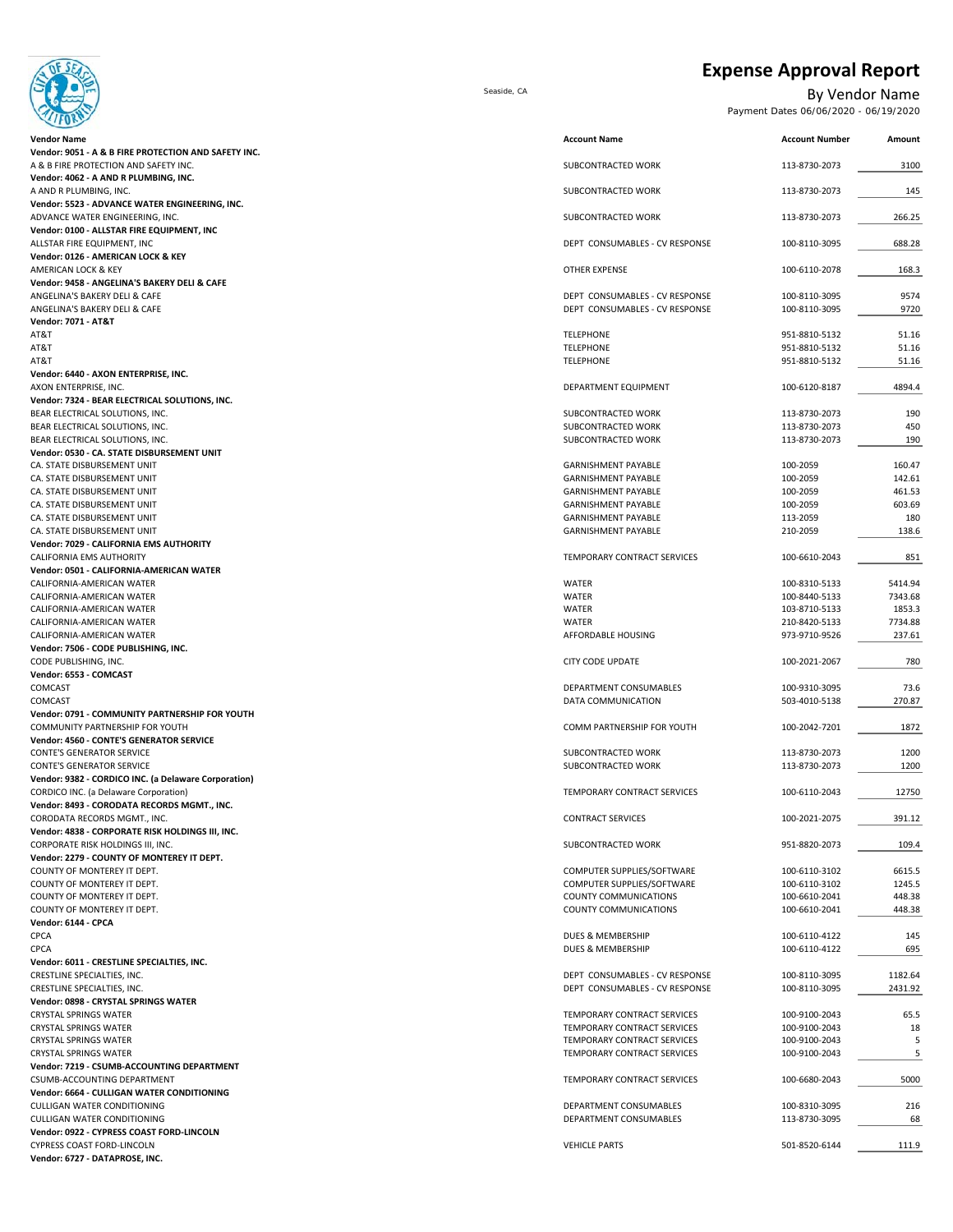

**Expense Approval Report**

Seaside, CA By Vendor Name

Payment Dates 06/06/2020 - 06/19/2020

| <u>sa na</u>                                                                      |                                                          |                                |                  |
|-----------------------------------------------------------------------------------|----------------------------------------------------------|--------------------------------|------------------|
| Vendor Name                                                                       | <b>Account Name</b>                                      | <b>Account Number</b>          | Amount           |
| Vendor: 9051 - A & B FIRE PROTECTION AND SAFETY INC.                              |                                                          |                                |                  |
| A & B FIRE PROTECTION AND SAFETY INC.                                             | SUBCONTRACTED WORK                                       | 113-8730-2073                  | 3100             |
| Vendor: 4062 - A AND R PLUMBING, INC.                                             |                                                          |                                |                  |
| A AND R PLUMBING, INC.                                                            | SUBCONTRACTED WORK                                       | 113-8730-2073                  | 145              |
| Vendor: 5523 - ADVANCE WATER ENGINEERING, INC.<br>ADVANCE WATER ENGINEERING, INC. | SUBCONTRACTED WORK                                       | 113-8730-2073                  | 266.25           |
| Vendor: 0100 - ALLSTAR FIRE EQUIPMENT, INC                                        |                                                          |                                |                  |
| ALLSTAR FIRE EQUIPMENT, INC                                                       | DEPT CONSUMABLES - CV RESPONSE                           | 100-8110-3095                  | 688.28           |
| Vendor: 0126 - AMERICAN LOCK & KEY                                                |                                                          |                                |                  |
| AMERICAN LOCK & KEY                                                               | OTHER EXPENSE                                            | 100-6110-2078                  | 168.3            |
| Vendor: 9458 - ANGELINA'S BAKERY DELI & CAFE                                      |                                                          |                                |                  |
| ANGELINA'S BAKERY DELI & CAFE                                                     | DEPT CONSUMABLES - CV RESPONSE                           | 100-8110-3095                  | 9574             |
| ANGELINA'S BAKERY DELI & CAFE                                                     | DEPT CONSUMABLES - CV RESPONSE                           | 100-8110-3095                  | 9720             |
| Vendor: 7071 - AT&T                                                               |                                                          |                                |                  |
| AT&T                                                                              | <b>TELEPHONE</b>                                         | 951-8810-5132                  | 51.16            |
| AT&T                                                                              | <b>TELEPHONE</b>                                         | 951-8810-5132                  | 51.16            |
| AT&T                                                                              | <b>TELEPHONE</b>                                         | 951-8810-5132                  | 51.16            |
| Vendor: 6440 - AXON ENTERPRISE, INC.<br>AXON ENTERPRISE, INC.                     | DEPARTMENT EQUIPMENT                                     | 100-6120-8187                  | 4894.4           |
| Vendor: 7324 - BEAR ELECTRICAL SOLUTIONS, INC.                                    |                                                          |                                |                  |
| BEAR ELECTRICAL SOLUTIONS, INC.                                                   | SUBCONTRACTED WORK                                       | 113-8730-2073                  | 190              |
| BEAR ELECTRICAL SOLUTIONS, INC.                                                   | SUBCONTRACTED WORK                                       | 113-8730-2073                  | 450              |
| BEAR ELECTRICAL SOLUTIONS, INC.                                                   | SUBCONTRACTED WORK                                       | 113-8730-2073                  | 190              |
| Vendor: 0530 - CA. STATE DISBURSEMENT UNIT                                        |                                                          |                                |                  |
| CA. STATE DISBURSEMENT UNIT                                                       | <b>GARNISHMENT PAYABLE</b>                               | 100-2059                       | 160.47           |
| CA. STATE DISBURSEMENT UNIT                                                       | GARNISHMENT PAYABLE                                      | 100-2059                       | 142.61           |
| CA. STATE DISBURSEMENT UNIT                                                       | <b>GARNISHMENT PAYABLE</b>                               | 100-2059                       | 461.53           |
| CA. STATE DISBURSEMENT UNIT                                                       | GARNISHMENT PAYABLE                                      | 100-2059                       | 603.69           |
| CA. STATE DISBURSEMENT UNIT                                                       | <b>GARNISHMENT PAYABLE</b>                               | 113-2059                       | 180              |
| CA. STATE DISBURSEMENT UNIT                                                       | <b>GARNISHMENT PAYABLE</b>                               | 210-2059                       | 138.6            |
| Vendor: 7029 - CALIFORNIA EMS AUTHORITY                                           |                                                          |                                |                  |
| CALIFORNIA EMS AUTHORITY                                                          | TEMPORARY CONTRACT SERVICES                              | 100-6610-2043                  | 851              |
| Vendor: 0501 - CALIFORNIA-AMERICAN WATER                                          |                                                          |                                |                  |
| CALIFORNIA-AMERICAN WATER                                                         | <b>WATER</b>                                             | 100-8310-5133                  | 5414.94          |
| CALIFORNIA-AMERICAN WATER                                                         | WATER                                                    | 100-8440-5133                  | 7343.68          |
| CALIFORNIA-AMERICAN WATER                                                         | WATER                                                    | 103-8710-5133                  | 1853.3           |
| CALIFORNIA-AMERICAN WATER                                                         | <b>WATER</b>                                             | 210-8420-5133                  | 7734.88          |
| CALIFORNIA-AMERICAN WATER<br>Vendor: 7506 - CODE PUBLISHING, INC.                 | AFFORDABLE HOUSING                                       | 973-9710-9526                  | 237.61           |
| CODE PUBLISHING, INC.                                                             | <b>CITY CODE UPDATE</b>                                  | 100-2021-2067                  | 780              |
| Vendor: 6553 - COMCAST                                                            |                                                          |                                |                  |
| COMCAST                                                                           | DEPARTMENT CONSUMABLES                                   | 100-9310-3095                  | 73.6             |
| COMCAST                                                                           | DATA COMMUNICATION                                       | 503-4010-5138                  | 270.87           |
| Vendor: 0791 - COMMUNITY PARTNERSHIP FOR YOUTH                                    |                                                          |                                |                  |
| COMMUNITY PARTNERSHIP FOR YOUTH                                                   | COMM PARTNERSHIP FOR YOUTH                               | 100-2042-7201                  | 1872             |
| Vendor: 4560 - CONTE'S GENERATOR SERVICE                                          |                                                          |                                |                  |
| CONTE'S GENERATOR SERVICE                                                         | SUBCONTRACTED WORK                                       | 113-8730-2073                  | 1200             |
| <b>CONTE'S GENERATOR SERVICE</b>                                                  | SUBCONTRACTED WORK                                       | 113-8730-2073                  | 1200             |
| Vendor: 9382 - CORDICO INC. (a Delaware Corporation)                              |                                                          |                                |                  |
| CORDICO INC. (a Delaware Corporation)                                             | TEMPORARY CONTRACT SERVICES                              | 100-6110-2043                  | 12750            |
| Vendor: 8493 - CORODATA RECORDS MGMT., INC.                                       |                                                          |                                |                  |
| CORODATA RECORDS MGMT., INC.                                                      | <b>CONTRACT SERVICES</b>                                 | 100-2021-2075                  | 391.12           |
| Vendor: 4838 - CORPORATE RISK HOLDINGS III, INC.                                  |                                                          |                                |                  |
| CORPORATE RISK HOLDINGS III, INC.                                                 | SUBCONTRACTED WORK                                       | 951-8820-2073                  | 109.4            |
| Vendor: 2279 - COUNTY OF MONTEREY IT DEPT.                                        |                                                          | 100-6110-3102                  |                  |
| COUNTY OF MONTEREY IT DEPT.<br>COUNTY OF MONTEREY IT DEPT.                        | COMPUTER SUPPLIES/SOFTWARE<br>COMPUTER SUPPLIES/SOFTWARE |                                | 6615.5<br>1245.5 |
| COUNTY OF MONTEREY IT DEPT.                                                       | COUNTY COMMUNICATIONS                                    | 100-6110-3102<br>100-6610-2041 | 448.38           |
| COUNTY OF MONTEREY IT DEPT.                                                       | COUNTY COMMUNICATIONS                                    | 100-6610-2041                  | 448.38           |
| Vendor: 6144 - CPCA                                                               |                                                          |                                |                  |
| CPCA                                                                              | DUES & MEMBERSHIP                                        | 100-6110-4122                  | 145              |
| CPCA                                                                              | DUES & MEMBERSHIP                                        | 100-6110-4122                  | 695              |
| Vendor: 6011 - CRESTLINE SPECIALTIES, INC.                                        |                                                          |                                |                  |
| CRESTLINE SPECIALTIES, INC.                                                       | DEPT CONSUMABLES - CV RESPONSE                           | 100-8110-3095                  | 1182.64          |
| CRESTLINE SPECIALTIES, INC.                                                       | DEPT CONSUMABLES - CV RESPONSE                           | 100-8110-3095                  | 2431.92          |
| Vendor: 0898 - CRYSTAL SPRINGS WATER                                              |                                                          |                                |                  |
| CRYSTAL SPRINGS WATER                                                             | TEMPORARY CONTRACT SERVICES                              | 100-9100-2043                  | 65.5             |
| CRYSTAL SPRINGS WATER                                                             | TEMPORARY CONTRACT SERVICES                              | 100-9100-2043                  | 18               |
| CRYSTAL SPRINGS WATER                                                             | TEMPORARY CONTRACT SERVICES                              | 100-9100-2043                  | 5                |
| CRYSTAL SPRINGS WATER                                                             | TEMPORARY CONTRACT SERVICES                              | 100-9100-2043                  | 5                |
| Vendor: 7219 - CSUMB-ACCOUNTING DEPARTMENT                                        |                                                          |                                |                  |
| CSUMB-ACCOUNTING DEPARTMENT                                                       | TEMPORARY CONTRACT SERVICES                              | 100-6680-2043                  | 5000             |
| Vendor: 6664 - CULLIGAN WATER CONDITIONING                                        |                                                          |                                |                  |
| CULLIGAN WATER CONDITIONING                                                       | DEPARTMENT CONSUMABLES                                   | 100-8310-3095                  | 216              |
| CULLIGAN WATER CONDITIONING                                                       | DEPARTMENT CONSUMABLES                                   | 113-8730-3095                  | 68               |
| Vendor: 0922 - CYPRESS COAST FORD-LINCOLN<br>CVDRESS COAST EORD-LINCOLN           | <b>VEHICLE DARTS</b>                                     | 501-8520-6144                  | 1110             |
|                                                                                   |                                                          |                                |                  |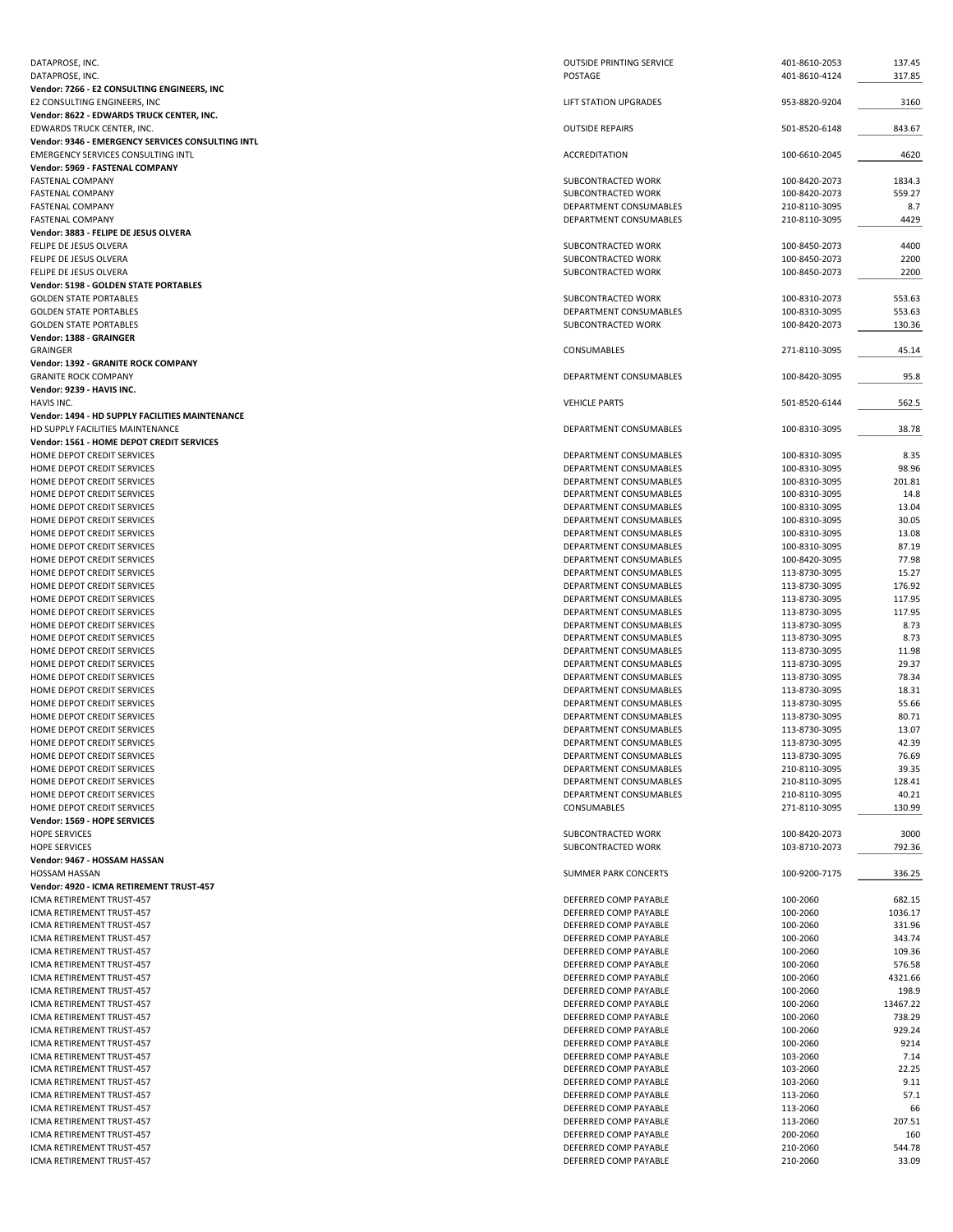| DATAPROSE, INC.                                        | <b>OUTSIDE PRINTING SERVICE</b> | 401-8610-2053 | 137.45   |
|--------------------------------------------------------|---------------------------------|---------------|----------|
| DATAPROSE, INC.                                        | POSTAGE                         | 401-8610-4124 | 317.85   |
| Vendor: 7266 - E2 CONSULTING ENGINEERS, INC            |                                 |               |          |
| E2 CONSULTING ENGINEERS, INC                           | <b>LIFT STATION UPGRADES</b>    | 953-8820-9204 | 3160     |
|                                                        |                                 |               |          |
| Vendor: 8622 - EDWARDS TRUCK CENTER, INC.              |                                 |               |          |
| EDWARDS TRUCK CENTER, INC.                             | <b>OUTSIDE REPAIRS</b>          | 501-8520-6148 | 843.67   |
| Vendor: 9346 - EMERGENCY SERVICES CONSULTING INTL      |                                 |               |          |
| EMERGENCY SERVICES CONSULTING INTL                     | <b>ACCREDITATION</b>            | 100-6610-2045 | 4620     |
| Vendor: 5969 - FASTENAL COMPANY                        |                                 |               |          |
| <b>FASTENAL COMPANY</b>                                | SUBCONTRACTED WORK              | 100-8420-2073 | 1834.3   |
| <b>FASTENAL COMPANY</b>                                | SUBCONTRACTED WORK              | 100-8420-2073 | 559.27   |
| <b>FASTENAL COMPANY</b>                                | DEPARTMENT CONSUMABLES          | 210-8110-3095 | 8.7      |
|                                                        |                                 |               |          |
| <b>FASTENAL COMPANY</b>                                | <b>DEPARTMENT CONSUMABLES</b>   | 210-8110-3095 | 4429     |
| Vendor: 3883 - FELIPE DE JESUS OLVERA                  |                                 |               |          |
| FELIPE DE JESUS OLVERA                                 | SUBCONTRACTED WORK              | 100-8450-2073 | 4400     |
| FELIPE DE JESUS OLVERA                                 | SUBCONTRACTED WORK              | 100-8450-2073 | 2200     |
| FELIPE DE JESUS OLVERA                                 | SUBCONTRACTED WORK              | 100-8450-2073 | 2200     |
| Vendor: 5198 - GOLDEN STATE PORTABLES                  |                                 |               |          |
| <b>GOLDEN STATE PORTABLES</b>                          | SUBCONTRACTED WORK              | 100-8310-2073 | 553.63   |
|                                                        |                                 |               |          |
| <b>GOLDEN STATE PORTABLES</b>                          | DEPARTMENT CONSUMABLES          | 100-8310-3095 | 553.63   |
| <b>GOLDEN STATE PORTABLES</b>                          | SUBCONTRACTED WORK              | 100-8420-2073 | 130.36   |
| Vendor: 1388 - GRAINGER                                |                                 |               |          |
| GRAINGER                                               | CONSUMABLES                     | 271-8110-3095 | 45.14    |
| Vendor: 1392 - GRANITE ROCK COMPANY                    |                                 |               |          |
| <b>GRANITE ROCK COMPANY</b>                            | DEPARTMENT CONSUMABLES          |               |          |
|                                                        |                                 | 100-8420-3095 | 95.8     |
| Vendor: 9239 - HAVIS INC.                              |                                 |               |          |
| HAVIS INC.                                             | <b>VEHICLE PARTS</b>            | 501-8520-6144 | 562.5    |
| <b>Vendor: 1494 - HD SUPPLY FACILITIES MAINTENANCE</b> |                                 |               |          |
| HD SUPPLY FACILITIES MAINTENANCE                       | DEPARTMENT CONSUMABLES          | 100-8310-3095 | 38.78    |
| Vendor: 1561 - HOME DEPOT CREDIT SERVICES              |                                 |               |          |
| HOME DEPOT CREDIT SERVICES                             | DEPARTMENT CONSUMABLES          | 100-8310-3095 | 8.35     |
|                                                        |                                 |               |          |
| HOME DEPOT CREDIT SERVICES                             | DEPARTMENT CONSUMABLES          | 100-8310-3095 | 98.96    |
| HOME DEPOT CREDIT SERVICES                             | DEPARTMENT CONSUMABLES          | 100-8310-3095 | 201.81   |
| HOME DEPOT CREDIT SERVICES                             | DEPARTMENT CONSUMABLES          | 100-8310-3095 | 14.8     |
| HOME DEPOT CREDIT SERVICES                             | DEPARTMENT CONSUMABLES          | 100-8310-3095 | 13.04    |
| HOME DEPOT CREDIT SERVICES                             | DEPARTMENT CONSUMABLES          | 100-8310-3095 | 30.05    |
| HOME DEPOT CREDIT SERVICES                             | DEPARTMENT CONSUMABLES          | 100-8310-3095 | 13.08    |
| HOME DEPOT CREDIT SERVICES                             | DEPARTMENT CONSUMABLES          | 100-8310-3095 | 87.19    |
|                                                        |                                 |               |          |
| HOME DEPOT CREDIT SERVICES                             | DEPARTMENT CONSUMABLES          | 100-8420-3095 | 77.98    |
| HOME DEPOT CREDIT SERVICES                             | DEPARTMENT CONSUMABLES          | 113-8730-3095 | 15.27    |
| HOME DEPOT CREDIT SERVICES                             | DEPARTMENT CONSUMABLES          | 113-8730-3095 | 176.92   |
| HOME DEPOT CREDIT SERVICES                             | DEPARTMENT CONSUMABLES          | 113-8730-3095 | 117.95   |
| HOME DEPOT CREDIT SERVICES                             | DEPARTMENT CONSUMABLES          | 113-8730-3095 | 117.95   |
| HOME DEPOT CREDIT SERVICES                             | DEPARTMENT CONSUMABLES          | 113-8730-3095 | 8.73     |
|                                                        |                                 |               |          |
| HOME DEPOT CREDIT SERVICES                             | DEPARTMENT CONSUMABLES          | 113-8730-3095 | 8.73     |
| HOME DEPOT CREDIT SERVICES                             | DEPARTMENT CONSUMABLES          | 113-8730-3095 | 11.98    |
| HOME DEPOT CREDIT SERVICES                             | DEPARTMENT CONSUMABLES          | 113-8730-3095 | 29.37    |
| HOME DEPOT CREDIT SERVICES                             | DEPARTMENT CONSUMABLES          | 113-8730-3095 | 78.34    |
| HOME DEPOT CREDIT SERVICES                             | DEPARTMENT CONSUMABLES          | 113-8730-3095 | 18.31    |
| HOME DEPOT CREDIT SERVICES                             | DEPARTMENT CONSUMABLES          | 113-8730-3095 | 55.66    |
|                                                        |                                 |               |          |
| HOME DEPOT CREDIT SERVICES                             | DEPARTMENT CONSUMABLES          | 113-8730-3095 | 80.71    |
| HOME DEPOT CREDIT SERVICES                             | DEPARTMENT CONSUMABLES          | 113-8730-3095 | 13.07    |
| HOME DEPOT CREDIT SERVICES                             | DEPARTMENT CONSUMABLES          | 113-8730-3095 | 42.39    |
| HOME DEPOT CREDIT SERVICES                             | DEPARTMENT CONSUMABLES          | 113-8730-3095 | 76.69    |
| HOME DEPOT CREDIT SERVICES                             | DEPARTMENT CONSUMABLES          | 210-8110-3095 | 39.35    |
| HOME DEPOT CREDIT SERVICES                             | DEPARTMENT CONSUMABLES          | 210-8110-3095 | 128.41   |
| HOME DEPOT CREDIT SERVICES                             |                                 |               |          |
|                                                        | DEPARTMENT CONSUMABLES          | 210-8110-3095 | 40.21    |
| HOME DEPOT CREDIT SERVICES                             | <b>CONSUMABLES</b>              | 271-8110-3095 | 130.99   |
| Vendor: 1569 - HOPE SERVICES                           |                                 |               |          |
| <b>HOPE SERVICES</b>                                   | SUBCONTRACTED WORK              | 100-8420-2073 | 3000     |
| <b>HOPE SERVICES</b>                                   | SUBCONTRACTED WORK              | 103-8710-2073 | 792.36   |
| Vendor: 9467 - HOSSAM HASSAN                           |                                 |               |          |
| <b>HOSSAM HASSAN</b>                                   | SUMMER PARK CONCERTS            | 100-9200-7175 | 336.25   |
|                                                        |                                 |               |          |
| Vendor: 4920 - ICMA RETIREMENT TRUST-457               |                                 |               |          |
| ICMA RETIREMENT TRUST-457                              | DEFERRED COMP PAYABLE           | 100-2060      | 682.15   |
| ICMA RETIREMENT TRUST-457                              | DEFERRED COMP PAYABLE           | 100-2060      | 1036.17  |
| ICMA RETIREMENT TRUST-457                              | DEFERRED COMP PAYABLE           | 100-2060      | 331.96   |
| ICMA RETIREMENT TRUST-457                              | DEFERRED COMP PAYABLE           | 100-2060      | 343.74   |
| ICMA RETIREMENT TRUST-457                              | DEFERRED COMP PAYABLE           | 100-2060      | 109.36   |
| ICMA RETIREMENT TRUST-457                              |                                 |               | 576.58   |
|                                                        | DEFERRED COMP PAYABLE           | 100-2060      |          |
| ICMA RETIREMENT TRUST-457                              | DEFERRED COMP PAYABLE           | 100-2060      | 4321.66  |
| ICMA RETIREMENT TRUST-457                              | DEFERRED COMP PAYABLE           | 100-2060      | 198.9    |
| ICMA RETIREMENT TRUST-457                              | DEFERRED COMP PAYABLE           | 100-2060      | 13467.22 |
| ICMA RETIREMENT TRUST-457                              | DEFERRED COMP PAYABLE           | 100-2060      | 738.29   |
| ICMA RETIREMENT TRUST-457                              |                                 | 100-2060      | 929.24   |
|                                                        |                                 |               |          |
| ICMA RETIREMENT TRUST-457                              | DEFERRED COMP PAYABLE           |               |          |
| ICMA RETIREMENT TRUST-457                              | DEFERRED COMP PAYABLE           | 100-2060      | 9214     |
|                                                        | DEFERRED COMP PAYABLE           | 103-2060      | 7.14     |
| ICMA RETIREMENT TRUST-457                              | DEFERRED COMP PAYABLE           | 103-2060      | 22.25    |
| ICMA RETIREMENT TRUST-457                              | DEFERRED COMP PAYABLE           | 103-2060      | 9.11     |
| ICMA RETIREMENT TRUST-457                              |                                 |               |          |
|                                                        | DEFERRED COMP PAYABLE           | 113-2060      | 57.1     |
| ICMA RETIREMENT TRUST-457                              | DEFERRED COMP PAYABLE           | 113-2060      | 66       |
| ICMA RETIREMENT TRUST-457                              | DEFERRED COMP PAYABLE           | 113-2060      | 207.51   |
| ICMA RETIREMENT TRUST-457                              | DEFERRED COMP PAYABLE           | 200-2060      | 160      |
| ICMA RETIREMENT TRUST-457                              | DEFERRED COMP PAYABLE           | 210-2060      | 544.78   |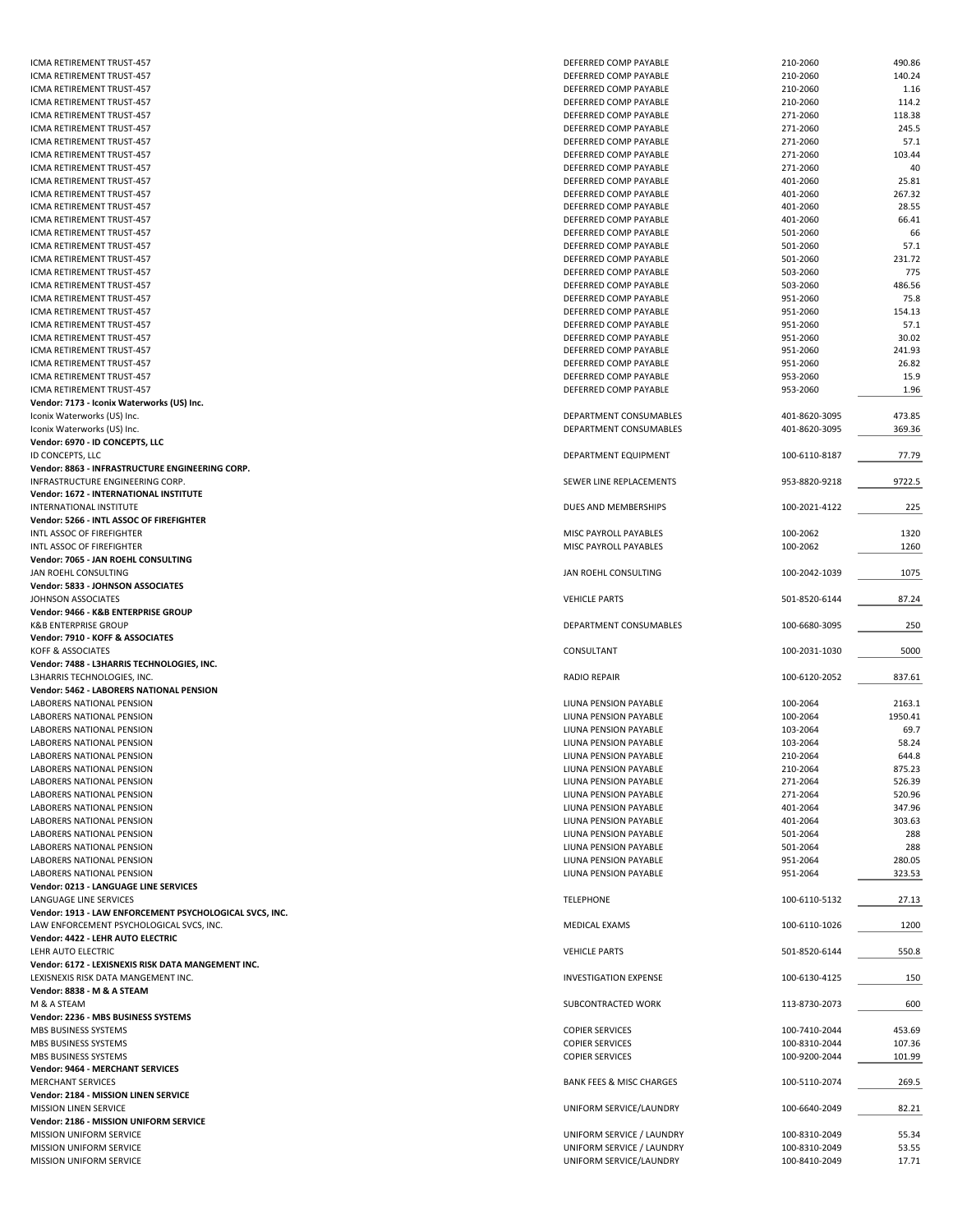| <b>ICMA RETIREMENT TRUST-457</b>                        | DEFERRED COMP PAYABLE                                | 210-2060                       | 490.86         |
|---------------------------------------------------------|------------------------------------------------------|--------------------------------|----------------|
| ICMA RETIREMENT TRUST-457                               | DEFERRED COMP PAYABLE                                | 210-2060                       | 140.24         |
| ICMA RETIREMENT TRUST-457                               | DEFERRED COMP PAYABLE                                | 210-2060                       | 1.16           |
| ICMA RETIREMENT TRUST-457                               | DEFERRED COMP PAYABLE                                | 210-2060                       | 114.2          |
|                                                         |                                                      |                                |                |
| ICMA RETIREMENT TRUST-457                               | DEFERRED COMP PAYABLE                                | 271-2060                       | 118.38         |
| ICMA RETIREMENT TRUST-457                               | DEFERRED COMP PAYABLE                                | 271-2060                       | 245.5          |
| ICMA RETIREMENT TRUST-457                               | DEFERRED COMP PAYABLE                                | 271-2060                       | 57.1           |
| ICMA RETIREMENT TRUST-457                               | DEFERRED COMP PAYABLE                                | 271-2060                       | 103.44         |
| ICMA RETIREMENT TRUST-457                               | DEFERRED COMP PAYABLE                                | 271-2060                       | 40             |
| ICMA RETIREMENT TRUST-457                               | DEFERRED COMP PAYABLE                                | 401-2060                       | 25.81          |
| ICMA RETIREMENT TRUST-457                               | DEFERRED COMP PAYABLE                                | 401-2060                       | 267.32         |
|                                                         |                                                      |                                |                |
| ICMA RETIREMENT TRUST-457                               | DEFERRED COMP PAYABLE                                | 401-2060                       | 28.55          |
| ICMA RETIREMENT TRUST-457                               | DEFERRED COMP PAYABLE                                | 401-2060                       | 66.41          |
| ICMA RETIREMENT TRUST-457                               | DEFERRED COMP PAYABLE                                | 501-2060                       | 66             |
| ICMA RETIREMENT TRUST-457                               | DEFERRED COMP PAYABLE                                | 501-2060                       | 57.1           |
| ICMA RETIREMENT TRUST-457                               | DEFERRED COMP PAYABLE                                | 501-2060                       | 231.72         |
| ICMA RETIREMENT TRUST-457                               | DEFERRED COMP PAYABLE                                | 503-2060                       | 775            |
| ICMA RETIREMENT TRUST-457                               |                                                      | 503-2060                       | 486.56         |
|                                                         | DEFERRED COMP PAYABLE                                |                                |                |
| ICMA RETIREMENT TRUST-457                               | DEFERRED COMP PAYABLE                                | 951-2060                       | 75.8           |
| ICMA RETIREMENT TRUST-457                               | DEFERRED COMP PAYABLE                                | 951-2060                       | 154.13         |
| ICMA RETIREMENT TRUST-457                               | DEFERRED COMP PAYABLE                                | 951-2060                       | 57.1           |
| ICMA RETIREMENT TRUST-457                               | DEFERRED COMP PAYABLE                                | 951-2060                       | 30.02          |
| ICMA RETIREMENT TRUST-457                               | DEFERRED COMP PAYABLE                                | 951-2060                       | 241.93         |
| ICMA RETIREMENT TRUST-457                               | DEFERRED COMP PAYABLE                                | 951-2060                       | 26.82          |
|                                                         |                                                      |                                |                |
| ICMA RETIREMENT TRUST-457                               | DEFERRED COMP PAYABLE                                | 953-2060                       | 15.9           |
| ICMA RETIREMENT TRUST-457                               | DEFERRED COMP PAYABLE                                | 953-2060                       | 1.96           |
| Vendor: 7173 - Iconix Waterworks (US) Inc.              |                                                      |                                |                |
| Iconix Waterworks (US) Inc.                             | <b>DEPARTMENT CONSUMABLES</b>                        | 401-8620-3095                  | 473.85         |
| Iconix Waterworks (US) Inc.                             | DEPARTMENT CONSUMABLES                               | 401-8620-3095                  | 369.36         |
| Vendor: 6970 - ID CONCEPTS, LLC                         |                                                      |                                |                |
| ID CONCEPTS, LLC                                        |                                                      |                                |                |
|                                                         | DEPARTMENT EQUIPMENT                                 | 100-6110-8187                  | 77.79          |
| Vendor: 8863 - INFRASTRUCTURE ENGINEERING CORP.         |                                                      |                                |                |
| INFRASTRUCTURE ENGINEERING CORP.                        | SEWER LINE REPLACEMENTS                              | 953-8820-9218                  | 9722.5         |
| Vendor: 1672 - INTERNATIONAL INSTITUTE                  |                                                      |                                |                |
| INTERNATIONAL INSTITUTE                                 | DUES AND MEMBERSHIPS                                 | 100-2021-4122                  | 225            |
| Vendor: 5266 - INTL ASSOC OF FIREFIGHTER                |                                                      |                                |                |
| INTL ASSOC OF FIREFIGHTER                               | MISC PAYROLL PAYABLES                                | 100-2062                       | 1320           |
|                                                         |                                                      |                                |                |
| INTL ASSOC OF FIREFIGHTER                               | MISC PAYROLL PAYABLES                                | 100-2062                       | 1260           |
| Vendor: 7065 - JAN ROEHL CONSULTING                     |                                                      |                                |                |
| JAN ROEHL CONSULTING                                    | JAN ROEHL CONSULTING                                 | 100-2042-1039                  | 1075           |
| Vendor: 5833 - JOHNSON ASSOCIATES                       |                                                      |                                |                |
| JOHNSON ASSOCIATES                                      | <b>VEHICLE PARTS</b>                                 | 501-8520-6144                  | 87.24          |
|                                                         |                                                      |                                |                |
|                                                         |                                                      |                                |                |
| Vendor: 9466 - K&B ENTERPRISE GROUP                     |                                                      |                                |                |
| <b>K&amp;B ENTERPRISE GROUP</b>                         | DEPARTMENT CONSUMABLES                               | 100-6680-3095                  | 250            |
| Vendor: 7910 - KOFF & ASSOCIATES                        |                                                      |                                |                |
| KOFF & ASSOCIATES                                       | CONSULTANT                                           | 100-2031-1030                  | 5000           |
| Vendor: 7488 - L3HARRIS TECHNOLOGIES, INC.              |                                                      |                                |                |
|                                                         |                                                      |                                |                |
| L3HARRIS TECHNOLOGIES, INC.                             | <b>RADIO REPAIR</b>                                  | 100-6120-2052                  | 837.61         |
| Vendor: 5462 - LABORERS NATIONAL PENSION                |                                                      |                                |                |
| LABORERS NATIONAL PENSION                               | LIUNA PENSION PAYABLE                                | 100-2064                       | 2163.1         |
| LABORERS NATIONAL PENSION                               | LIUNA PENSION PAYABLE                                | 100-2064                       | 1950.41        |
| LABORERS NATIONAL PENSION                               | LIUNA PENSION PAYABLE                                | 103-2064                       | 69.7           |
| LABORERS NATIONAL PENSION                               | LIUNA PENSION PAYABLE                                | 103-2064                       | 58.24          |
| LABORERS NATIONAL PENSION                               | LIUNA PENSION PAYABLE                                | 210-2064                       | 644.8          |
|                                                         |                                                      |                                |                |
| LABORERS NATIONAL PENSION                               | LIUNA PENSION PAYABLE                                | 210-2064                       | 875.23         |
| LABORERS NATIONAL PENSION                               | LIUNA PENSION PAYABLE                                | 271-2064                       | 526.39         |
| LABORERS NATIONAL PENSION                               | LIUNA PENSION PAYABLE                                | 271-2064                       | 520.96         |
| LABORERS NATIONAL PENSION                               | LIUNA PENSION PAYABLE                                | 401-2064                       | 347.96         |
| LABORERS NATIONAL PENSION                               | LIUNA PENSION PAYABLE                                | 401-2064                       | 303.63         |
| LABORERS NATIONAL PENSION                               | LIUNA PENSION PAYABLE                                | 501-2064                       | 288            |
|                                                         | LIUNA PENSION PAYABLE                                |                                |                |
| LABORERS NATIONAL PENSION                               |                                                      | 501-2064                       | 288            |
| LABORERS NATIONAL PENSION                               | LIUNA PENSION PAYABLE                                | 951-2064                       | 280.05         |
| LABORERS NATIONAL PENSION                               | LIUNA PENSION PAYABLE                                | 951-2064                       | 323.53         |
| Vendor: 0213 - LANGUAGE LINE SERVICES                   |                                                      |                                |                |
| LANGUAGE LINE SERVICES                                  | <b>TELEPHONE</b>                                     | 100-6110-5132                  | 27.13          |
| Vendor: 1913 - LAW ENFORCEMENT PSYCHOLOGICAL SVCS, INC. |                                                      |                                |                |
| LAW ENFORCEMENT PSYCHOLOGICAL SVCS, INC.                | MEDICAL EXAMS                                        | 100-6110-1026                  | 1200           |
|                                                         |                                                      |                                |                |
| Vendor: 4422 - LEHR AUTO ELECTRIC                       |                                                      |                                |                |
| LEHR AUTO ELECTRIC                                      | <b>VEHICLE PARTS</b>                                 | 501-8520-6144                  | 550.8          |
| Vendor: 6172 - LEXISNEXIS RISK DATA MANGEMENT INC.      |                                                      |                                |                |
| LEXISNEXIS RISK DATA MANGEMENT INC.                     | <b>INVESTIGATION EXPENSE</b>                         | 100-6130-4125                  | 150            |
| Vendor: 8838 - M & A STEAM                              |                                                      |                                |                |
| M & A STEAM                                             | SUBCONTRACTED WORK                                   | 113-8730-2073                  | 600            |
| Vendor: 2236 - MBS BUSINESS SYSTEMS                     |                                                      |                                |                |
|                                                         |                                                      |                                |                |
| MBS BUSINESS SYSTEMS                                    | <b>COPIER SERVICES</b>                               | 100-7410-2044                  | 453.69         |
| MBS BUSINESS SYSTEMS                                    | <b>COPIER SERVICES</b>                               | 100-8310-2044                  | 107.36         |
| MBS BUSINESS SYSTEMS                                    | <b>COPIER SERVICES</b>                               | 100-9200-2044                  | 101.99         |
| Vendor: 9464 - MERCHANT SERVICES                        |                                                      |                                |                |
| <b>MERCHANT SERVICES</b>                                | <b>BANK FEES &amp; MISC CHARGES</b>                  | 100-5110-2074                  | 269.5          |
| Vendor: 2184 - MISSION LINEN SERVICE                    |                                                      |                                |                |
|                                                         |                                                      |                                |                |
| MISSION LINEN SERVICE                                   | UNIFORM SERVICE/LAUNDRY                              | 100-6640-2049                  | 82.21          |
| Vendor: 2186 - MISSION UNIFORM SERVICE                  |                                                      |                                |                |
| MISSION UNIFORM SERVICE                                 | UNIFORM SERVICE / LAUNDRY                            | 100-8310-2049                  | 55.34          |
| MISSION UNIFORM SERVICE<br>MISSION UNIFORM SERVICE      | UNIFORM SERVICE / LAUNDRY<br>UNIFORM SERVICE/LAUNDRY | 100-8310-2049<br>100-8410-2049 | 53.55<br>17.71 |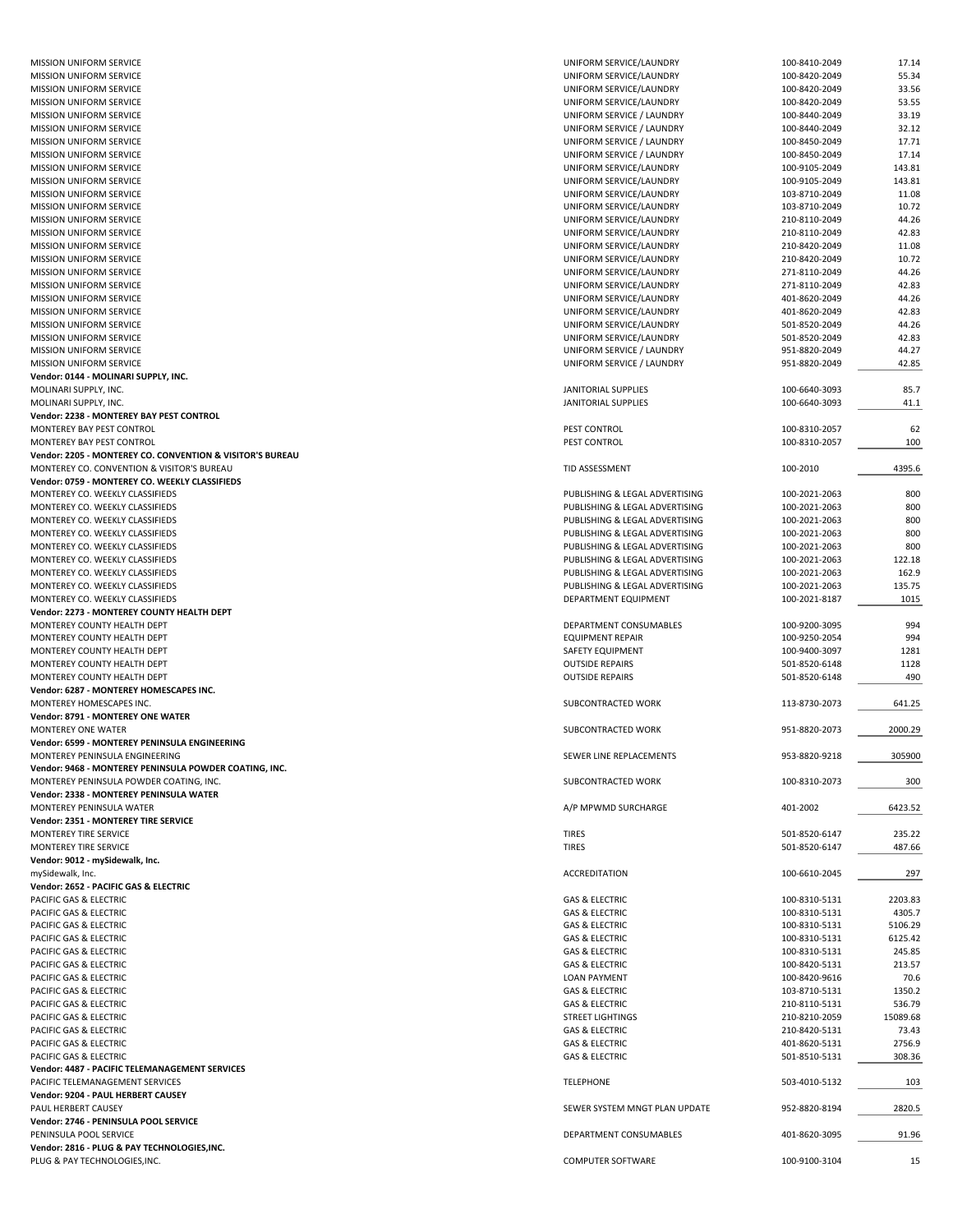| <b>MISSION UNIFORM SERVICE</b><br><b>MISSION UNIFORM SERVICE</b> |                                |               |          |
|------------------------------------------------------------------|--------------------------------|---------------|----------|
|                                                                  | UNIFORM SERVICE/LAUNDRY        | 100-8410-2049 | 17.14    |
|                                                                  | UNIFORM SERVICE/LAUNDRY        | 100-8420-2049 | 55.34    |
| <b>MISSION UNIFORM SERVICE</b>                                   | UNIFORM SERVICE/LAUNDRY        | 100-8420-2049 | 33.56    |
|                                                                  | UNIFORM SERVICE/LAUNDRY        |               |          |
| MISSION UNIFORM SERVICE                                          |                                | 100-8420-2049 | 53.55    |
| <b>MISSION UNIFORM SERVICE</b>                                   | UNIFORM SERVICE / LAUNDRY      | 100-8440-2049 | 33.19    |
| MISSION UNIFORM SERVICE                                          | UNIFORM SERVICE / LAUNDRY      | 100-8440-2049 | 32.12    |
| <b>MISSION UNIFORM SERVICE</b>                                   | UNIFORM SERVICE / LAUNDRY      | 100-8450-2049 | 17.71    |
|                                                                  |                                |               |          |
| <b>MISSION UNIFORM SERVICE</b>                                   | UNIFORM SERVICE / LAUNDRY      | 100-8450-2049 | 17.14    |
| MISSION UNIFORM SERVICE                                          | UNIFORM SERVICE/LAUNDRY        | 100-9105-2049 | 143.81   |
| <b>MISSION UNIFORM SERVICE</b>                                   | UNIFORM SERVICE/LAUNDRY        | 100-9105-2049 | 143.81   |
|                                                                  |                                |               |          |
| <b>MISSION UNIFORM SERVICE</b>                                   | UNIFORM SERVICE/LAUNDRY        | 103-8710-2049 | 11.08    |
| <b>MISSION UNIFORM SERVICE</b>                                   | UNIFORM SERVICE/LAUNDRY        | 103-8710-2049 | 10.72    |
| <b>MISSION UNIFORM SERVICE</b>                                   | UNIFORM SERVICE/LAUNDRY        | 210-8110-2049 | 44.26    |
|                                                                  |                                |               |          |
| MISSION UNIFORM SERVICE                                          | UNIFORM SERVICE/LAUNDRY        | 210-8110-2049 | 42.83    |
| <b>MISSION UNIFORM SERVICE</b>                                   | UNIFORM SERVICE/LAUNDRY        | 210-8420-2049 | 11.08    |
| <b>MISSION UNIFORM SERVICE</b>                                   | UNIFORM SERVICE/LAUNDRY        | 210-8420-2049 | 10.72    |
|                                                                  |                                |               |          |
| MISSION UNIFORM SERVICE                                          | UNIFORM SERVICE/LAUNDRY        | 271-8110-2049 | 44.26    |
| <b>MISSION UNIFORM SERVICE</b>                                   | UNIFORM SERVICE/LAUNDRY        | 271-8110-2049 | 42.83    |
| MISSION UNIFORM SERVICE                                          | UNIFORM SERVICE/LAUNDRY        | 401-8620-2049 | 44.26    |
|                                                                  |                                |               |          |
| <b>MISSION UNIFORM SERVICE</b>                                   | UNIFORM SERVICE/LAUNDRY        | 401-8620-2049 | 42.83    |
| MISSION UNIFORM SERVICE                                          | UNIFORM SERVICE/LAUNDRY        | 501-8520-2049 | 44.26    |
| MISSION UNIFORM SERVICE                                          | UNIFORM SERVICE/LAUNDRY        | 501-8520-2049 | 42.83    |
|                                                                  |                                |               |          |
| <b>MISSION UNIFORM SERVICE</b>                                   | UNIFORM SERVICE / LAUNDRY      | 951-8820-2049 | 44.27    |
| MISSION UNIFORM SERVICE                                          | UNIFORM SERVICE / LAUNDRY      | 951-8820-2049 | 42.85    |
| Vendor: 0144 - MOLINARI SUPPLY, INC.                             |                                |               |          |
|                                                                  |                                |               |          |
| MOLINARI SUPPLY, INC.                                            | JANITORIAL SUPPLIES            | 100-6640-3093 | 85.7     |
| MOLINARI SUPPLY, INC.                                            | JANITORIAL SUPPLIES            | 100-6640-3093 | 41.1     |
| Vendor: 2238 - MONTEREY BAY PEST CONTROL                         |                                |               |          |
|                                                                  | PEST CONTROL                   |               |          |
| MONTEREY BAY PEST CONTROL                                        |                                | 100-8310-2057 | 62       |
| MONTEREY BAY PEST CONTROL                                        | PEST CONTROL                   | 100-8310-2057 | 100      |
| Vendor: 2205 - MONTEREY CO. CONVENTION & VISITOR'S BUREAU        |                                |               |          |
| MONTEREY CO. CONVENTION & VISITOR'S BUREAU                       |                                |               |          |
|                                                                  | TID ASSESSMENT                 | 100-2010      | 4395.6   |
| Vendor: 0759 - MONTEREY CO. WEEKLY CLASSIFIEDS                   |                                |               |          |
| MONTEREY CO. WEEKLY CLASSIFIEDS                                  | PUBLISHING & LEGAL ADVERTISING | 100-2021-2063 | 800      |
|                                                                  |                                |               |          |
| MONTEREY CO. WEEKLY CLASSIFIEDS                                  | PUBLISHING & LEGAL ADVERTISING | 100-2021-2063 | 800      |
| MONTEREY CO. WEEKLY CLASSIFIEDS                                  | PUBLISHING & LEGAL ADVERTISING | 100-2021-2063 | 800      |
| MONTEREY CO. WEEKLY CLASSIFIEDS                                  | PUBLISHING & LEGAL ADVERTISING | 100-2021-2063 | 800      |
| MONTEREY CO. WEEKLY CLASSIFIEDS                                  | PUBLISHING & LEGAL ADVERTISING | 100-2021-2063 | 800      |
|                                                                  |                                |               |          |
| MONTEREY CO. WEEKLY CLASSIFIEDS                                  | PUBLISHING & LEGAL ADVERTISING | 100-2021-2063 | 122.18   |
| MONTEREY CO. WEEKLY CLASSIFIEDS                                  | PUBLISHING & LEGAL ADVERTISING | 100-2021-2063 | 162.9    |
| MONTEREY CO. WEEKLY CLASSIFIEDS                                  | PUBLISHING & LEGAL ADVERTISING | 100-2021-2063 | 135.75   |
|                                                                  |                                |               |          |
| MONTEREY CO. WEEKLY CLASSIFIEDS                                  | DEPARTMENT EQUIPMENT           | 100-2021-8187 | 1015     |
| Vendor: 2273 - MONTEREY COUNTY HEALTH DEPT                       |                                |               |          |
| MONTEREY COUNTY HEALTH DEPT                                      | DEPARTMENT CONSUMABLES         | 100-9200-3095 | 994      |
|                                                                  |                                |               |          |
| MONTEREY COUNTY HEALTH DEPT                                      | <b>EQUIPMENT REPAIR</b>        | 100-9250-2054 | 994      |
| MONTEREY COUNTY HEALTH DEPT                                      | SAFETY EQUIPMENT               | 100-9400-3097 | 1281     |
| MONTEREY COUNTY HEALTH DEPT                                      | <b>OUTSIDE REPAIRS</b>         | 501-8520-6148 | 1128     |
|                                                                  |                                |               |          |
| MONTEREY COUNTY HEALTH DEPT                                      | <b>OUTSIDE REPAIRS</b>         | 501-8520-6148 | 490      |
| Vendor: 6287 - MONTEREY HOMESCAPES INC.                          |                                |               |          |
| MONTEREY HOMESCAPES INC.                                         | SUBCONTRACTED WORK             | 113-8730-2073 | 641.25   |
|                                                                  |                                |               |          |
| Vendor: 8791 - MONTEREY ONE WATER                                |                                |               |          |
| MONTEREY ONE WATER                                               | SUBCONTRACTED WORK             | 951-8820-2073 | 2000.29  |
|                                                                  |                                |               |          |
|                                                                  |                                |               |          |
| Vendor: 6599 - MONTEREY PENINSULA ENGINEERING                    |                                |               |          |
| MONTEREY PENINSULA ENGINEERING                                   | SEWER LINE REPLACEMENTS        | 953-8820-9218 | 305900   |
| Vendor: 9468 - MONTEREY PENINSULA POWDER COATING, INC.           |                                |               |          |
|                                                                  |                                |               |          |
| MONTEREY PENINSULA POWDER COATING, INC.                          | SUBCONTRACTED WORK             | 100-8310-2073 | 300      |
| Vendor: 2338 - MONTEREY PENINSULA WATER                          |                                |               |          |
| MONTEREY PENINSULA WATER                                         | A/P MPWMD SURCHARGE            | 401-2002      | 6423.52  |
|                                                                  |                                |               |          |
| Vendor: 2351 - MONTEREY TIRE SERVICE                             |                                |               |          |
| MONTEREY TIRE SERVICE                                            | <b>TIRES</b>                   | 501-8520-6147 | 235.22   |
| MONTEREY TIRE SERVICE                                            | <b>TIRES</b>                   | 501-8520-6147 | 487.66   |
| Vendor: 9012 - mySidewalk, Inc.                                  |                                |               |          |
|                                                                  |                                |               |          |
| mySidewalk, Inc.                                                 | ACCREDITATION                  | 100-6610-2045 | 297      |
| Vendor: 2652 - PACIFIC GAS & ELECTRIC                            |                                |               |          |
| PACIFIC GAS & ELECTRIC                                           | <b>GAS &amp; ELECTRIC</b>      | 100-8310-5131 | 2203.83  |
|                                                                  |                                |               |          |
| PACIFIC GAS & ELECTRIC                                           | <b>GAS &amp; ELECTRIC</b>      | 100-8310-5131 | 4305.7   |
| PACIFIC GAS & ELECTRIC                                           | <b>GAS &amp; ELECTRIC</b>      | 100-8310-5131 | 5106.29  |
| PACIFIC GAS & ELECTRIC                                           | <b>GAS &amp; ELECTRIC</b>      | 100-8310-5131 | 6125.42  |
|                                                                  |                                |               |          |
| PACIFIC GAS & ELECTRIC                                           | <b>GAS &amp; ELECTRIC</b>      | 100-8310-5131 | 245.85   |
| PACIFIC GAS & ELECTRIC                                           | <b>GAS &amp; ELECTRIC</b>      | 100-8420-5131 | 213.57   |
| PACIFIC GAS & ELECTRIC                                           | <b>LOAN PAYMENT</b>            | 100-8420-9616 | 70.6     |
|                                                                  |                                |               |          |
| PACIFIC GAS & ELECTRIC                                           | <b>GAS &amp; ELECTRIC</b>      | 103-8710-5131 | 1350.2   |
| PACIFIC GAS & ELECTRIC                                           | <b>GAS &amp; ELECTRIC</b>      | 210-8110-5131 | 536.79   |
| PACIFIC GAS & ELECTRIC                                           | <b>STREET LIGHTINGS</b>        | 210-8210-2059 | 15089.68 |
|                                                                  |                                |               |          |
| PACIFIC GAS & ELECTRIC                                           | <b>GAS &amp; ELECTRIC</b>      | 210-8420-5131 | 73.43    |
| PACIFIC GAS & ELECTRIC                                           | <b>GAS &amp; ELECTRIC</b>      | 401-8620-5131 | 2756.9   |
| PACIFIC GAS & ELECTRIC                                           | <b>GAS &amp; ELECTRIC</b>      | 501-8510-5131 | 308.36   |
| Vendor: 4487 - PACIFIC TELEMANAGEMENT SERVICES                   |                                |               |          |
|                                                                  |                                |               |          |
| PACIFIC TELEMANAGEMENT SERVICES                                  | <b>TELEPHONE</b>               | 503-4010-5132 | 103      |
| Vendor: 9204 - PAUL HERBERT CAUSEY                               |                                |               |          |
| PAUL HERBERT CAUSEY                                              | SEWER SYSTEM MNGT PLAN UPDATE  | 952-8820-8194 | 2820.5   |
|                                                                  |                                |               |          |
| Vendor: 2746 - PENINSULA POOL SERVICE                            |                                |               |          |
| PENINSULA POOL SERVICE                                           | DEPARTMENT CONSUMABLES         | 401-8620-3095 | 91.96    |
| Vendor: 2816 - PLUG & PAY TECHNOLOGIES, INC.                     |                                |               |          |
| PLUG & PAY TECHNOLOGIES, INC.                                    | COMPUTER SOFTWARE              | 100-9100-3104 | 15       |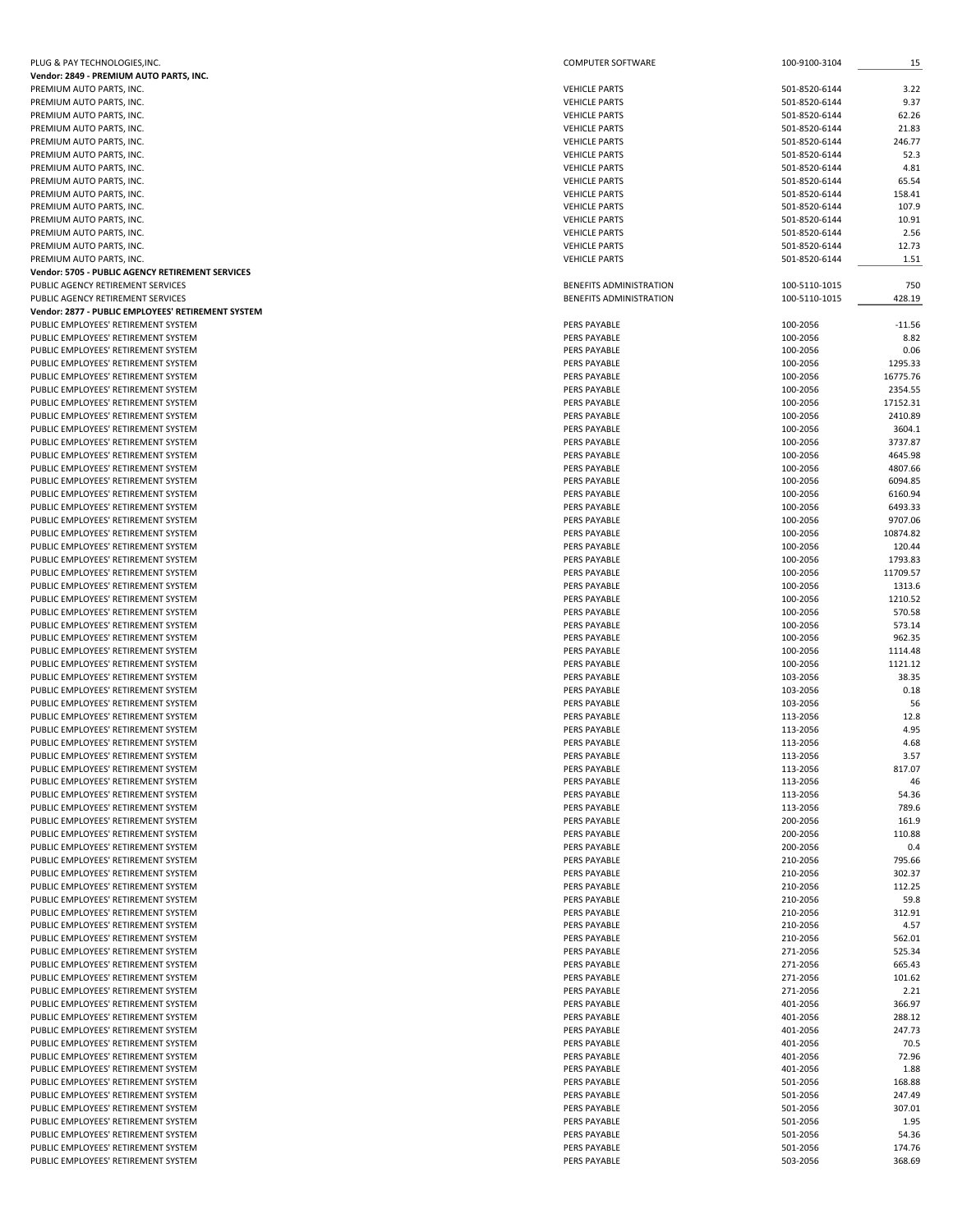| PLUG & PAY TECHNOLOGIES, INC.                      | COMPUTER SOFTWARE              | 100-9100-3104 | 15       |
|----------------------------------------------------|--------------------------------|---------------|----------|
| Vendor: 2849 - PREMIUM AUTO PARTS, INC.            |                                |               |          |
| PREMIUM AUTO PARTS, INC.                           | <b>VEHICLE PARTS</b>           | 501-8520-6144 | 3.22     |
| PREMIUM AUTO PARTS, INC.                           | <b>VEHICLE PARTS</b>           | 501-8520-6144 | 9.37     |
| PREMIUM AUTO PARTS, INC.                           | <b>VEHICLE PARTS</b>           | 501-8520-6144 | 62.26    |
| PREMIUM AUTO PARTS, INC.                           | <b>VEHICLE PARTS</b>           | 501-8520-6144 | 21.83    |
| PREMIUM AUTO PARTS, INC.                           | <b>VEHICLE PARTS</b>           | 501-8520-6144 | 246.77   |
| PREMIUM AUTO PARTS, INC.                           | <b>VEHICLE PARTS</b>           | 501-8520-6144 | 52.3     |
| PREMIUM AUTO PARTS, INC.                           | <b>VEHICLE PARTS</b>           | 501-8520-6144 | 4.81     |
| PREMIUM AUTO PARTS, INC.                           | <b>VEHICLE PARTS</b>           | 501-8520-6144 | 65.54    |
| PREMIUM AUTO PARTS, INC.                           | <b>VEHICLE PARTS</b>           | 501-8520-6144 | 158.41   |
| PREMIUM AUTO PARTS, INC.                           | <b>VEHICLE PARTS</b>           | 501-8520-6144 | 107.9    |
| PREMIUM AUTO PARTS, INC.                           | <b>VEHICLE PARTS</b>           | 501-8520-6144 | 10.91    |
| PREMIUM AUTO PARTS, INC.                           | <b>VEHICLE PARTS</b>           | 501-8520-6144 | 2.56     |
| PREMIUM AUTO PARTS, INC.                           | <b>VEHICLE PARTS</b>           | 501-8520-6144 | 12.73    |
| PREMIUM AUTO PARTS, INC.                           | <b>VEHICLE PARTS</b>           | 501-8520-6144 | 1.51     |
| Vendor: 5705 - PUBLIC AGENCY RETIREMENT SERVICES   |                                |               |          |
| PUBLIC AGENCY RETIREMENT SERVICES                  | <b>BENEFITS ADMINISTRATION</b> | 100-5110-1015 | 750      |
| PUBLIC AGENCY RETIREMENT SERVICES                  | <b>BENEFITS ADMINISTRATION</b> | 100-5110-1015 | 428.19   |
| Vendor: 2877 - PUBLIC EMPLOYEES' RETIREMENT SYSTEM |                                |               |          |
| PUBLIC EMPLOYEES' RETIREMENT SYSTEM                | PERS PAYABLE                   | 100-2056      | $-11.56$ |
| PUBLIC EMPLOYEES' RETIREMENT SYSTEM                | PERS PAYABLE                   | 100-2056      | 8.82     |
| PUBLIC EMPLOYEES' RETIREMENT SYSTEM                | PERS PAYABLE                   | 100-2056      | 0.06     |
| PUBLIC EMPLOYEES' RETIREMENT SYSTEM                | PERS PAYABLE                   | 100-2056      | 1295.33  |
| PUBLIC EMPLOYEES' RETIREMENT SYSTEM                | PERS PAYABLE                   | 100-2056      | 16775.76 |
| PUBLIC EMPLOYEES' RETIREMENT SYSTEM                | PERS PAYABLE                   | 100-2056      | 2354.55  |
| PUBLIC EMPLOYEES' RETIREMENT SYSTEM                | PERS PAYABLE                   | 100-2056      | 17152.31 |
| PUBLIC EMPLOYEES' RETIREMENT SYSTEM                | PERS PAYABLE                   | 100-2056      | 2410.89  |
| PUBLIC EMPLOYEES' RETIREMENT SYSTEM                | PERS PAYABLE                   | 100-2056      | 3604.1   |
| PUBLIC EMPLOYEES' RETIREMENT SYSTEM                | PERS PAYABLE                   | 100-2056      | 3737.87  |
|                                                    | PERS PAYABLE                   | 100-2056      | 4645.98  |
| PUBLIC EMPLOYEES' RETIREMENT SYSTEM                | PERS PAYABLE                   | 100-2056      | 4807.66  |
| PUBLIC EMPLOYEES' RETIREMENT SYSTEM                |                                |               |          |
| PUBLIC EMPLOYEES' RETIREMENT SYSTEM                | PERS PAYABLE<br>PERS PAYABLE   | 100-2056      | 6094.85  |
| PUBLIC EMPLOYEES' RETIREMENT SYSTEM                |                                | 100-2056      | 6160.94  |
| PUBLIC EMPLOYEES' RETIREMENT SYSTEM                | PERS PAYABLE                   | 100-2056      | 6493.33  |
| PUBLIC EMPLOYEES' RETIREMENT SYSTEM                | PERS PAYABLE                   | 100-2056      | 9707.06  |
| PUBLIC EMPLOYEES' RETIREMENT SYSTEM                | PERS PAYABLE                   | 100-2056      | 10874.82 |
| PUBLIC EMPLOYEES' RETIREMENT SYSTEM                | PERS PAYABLE                   | 100-2056      | 120.44   |
| PUBLIC EMPLOYEES' RETIREMENT SYSTEM                | PERS PAYABLE                   | 100-2056      | 1793.83  |
| PUBLIC EMPLOYEES' RETIREMENT SYSTEM                | PERS PAYABLE                   | 100-2056      | 11709.57 |
| PUBLIC EMPLOYEES' RETIREMENT SYSTEM                | PERS PAYABLE                   | 100-2056      | 1313.6   |
| PUBLIC EMPLOYEES' RETIREMENT SYSTEM                | PERS PAYABLE                   | 100-2056      | 1210.52  |
| PUBLIC EMPLOYEES' RETIREMENT SYSTEM                | PERS PAYABLE                   | 100-2056      | 570.58   |
| PUBLIC EMPLOYEES' RETIREMENT SYSTEM                | PERS PAYABLE                   | 100-2056      | 573.14   |
| PUBLIC EMPLOYEES' RETIREMENT SYSTEM                | PERS PAYABLE                   | 100-2056      | 962.35   |
| PUBLIC EMPLOYEES' RETIREMENT SYSTEM                | PERS PAYABLE                   | 100-2056      | 1114.48  |
| PUBLIC EMPLOYEES' RETIREMENT SYSTEM                | PERS PAYABLE                   | 100-2056      | 1121.12  |
| PUBLIC EMPLOYEES' RETIREMENT SYSTEM                | PERS PAYABLE                   | 103-2056      | 38.35    |
| PUBLIC EMPLOYEES' RETIREMENT SYSTEM                | PERS PAYABLE                   | 103-2056      | 0.18     |
| PUBLIC EMPLOYEES' RETIREMENT SYSTEM                | PERS PAYABLE                   | 103-2056      | 56       |
| PUBLIC EMPLOYEES' RETIREMENT SYSTEM                | PERS PAYABLE                   | 113-2056      | 12.8     |
| PUBLIC EMPLOYEES' RETIREMENT SYSTEM                | PERS PAYABLE                   | 113-2056      | 4.95     |
| PUBLIC EMPLOYEES' RETIREMENT SYSTEM                | PERS PAYABLE                   | 113-2056      | 4.68     |
| PUBLIC EMPLOYEES' RETIREMENT SYSTEM                | PERS PAYABLE                   | 113-2056      | 3.57     |
| PUBLIC EMPLOYEES' RETIREMENT SYSTEM                | PERS PAYABLE                   | 113-2056      | 817.07   |
| PUBLIC EMPLOYEES' RETIREMENT SYSTEM                | PERS PAYABLE                   | 113-2056      | 46       |
| PUBLIC EMPLOYEES' RETIREMENT SYSTEM                | PERS PAYABLE                   | 113-2056      | 54.36    |
| PUBLIC EMPLOYEES' RETIREMENT SYSTEM                | PERS PAYABLE                   | 113-2056      | 789.6    |
| PUBLIC EMPLOYEES' RETIREMENT SYSTEM                | PERS PAYABLE                   | 200-2056      | 161.9    |
| PUBLIC EMPLOYEES' RETIREMENT SYSTEM                | PERS PAYABLE                   | 200-2056      | 110.88   |
| PUBLIC EMPLOYEES' RETIREMENT SYSTEM                | PERS PAYABLE                   | 200-2056      | 0.4      |
| PUBLIC EMPLOYEES' RETIREMENT SYSTEM                | PERS PAYABLE                   | 210-2056      | 795.66   |
| PUBLIC EMPLOYEES' RETIREMENT SYSTEM                | PERS PAYABLE                   | 210-2056      | 302.37   |
| PUBLIC EMPLOYEES' RETIREMENT SYSTEM                | PERS PAYABLE                   | 210-2056      | 112.25   |
| PUBLIC EMPLOYEES' RETIREMENT SYSTEM                | PERS PAYABLE                   | 210-2056      | 59.8     |
| PUBLIC EMPLOYEES' RETIREMENT SYSTEM                | PERS PAYABLE                   | 210-2056      | 312.91   |
| PUBLIC EMPLOYEES' RETIREMENT SYSTEM                | PERS PAYABLE                   | 210-2056      | 4.57     |
| PUBLIC EMPLOYEES' RETIREMENT SYSTEM                | PERS PAYABLE                   | 210-2056      | 562.01   |
| PUBLIC EMPLOYEES' RETIREMENT SYSTEM                | PERS PAYABLE                   | 271-2056      | 525.34   |
| PUBLIC EMPLOYEES' RETIREMENT SYSTEM                | PERS PAYABLE                   | 271-2056      | 665.43   |
| PUBLIC EMPLOYEES' RETIREMENT SYSTEM                | PERS PAYABLE                   | 271-2056      | 101.62   |
| PUBLIC EMPLOYEES' RETIREMENT SYSTEM                | PERS PAYABLE                   | 271-2056      | 2.21     |
| PUBLIC EMPLOYEES' RETIREMENT SYSTEM                | PERS PAYABLE                   | 401-2056      | 366.97   |
| PUBLIC EMPLOYEES' RETIREMENT SYSTEM                | PERS PAYABLE                   | 401-2056      | 288.12   |
| PUBLIC EMPLOYEES' RETIREMENT SYSTEM                | PERS PAYABLE                   | 401-2056      | 247.73   |
| PUBLIC EMPLOYEES' RETIREMENT SYSTEM                | PERS PAYABLE                   | 401-2056      | 70.5     |
| PUBLIC EMPLOYEES' RETIREMENT SYSTEM                | PERS PAYABLE                   | 401-2056      | 72.96    |
| PUBLIC EMPLOYEES' RETIREMENT SYSTEM                | PERS PAYABLE                   | 401-2056      | 1.88     |
| PUBLIC EMPLOYEES' RETIREMENT SYSTEM                | PERS PAYABLE                   | 501-2056      | 168.88   |
| PUBLIC EMPLOYEES' RETIREMENT SYSTEM                | PERS PAYABLE                   | 501-2056      | 247.49   |
| PUBLIC EMPLOYEES' RETIREMENT SYSTEM                | PERS PAYABLE                   | 501-2056      | 307.01   |
| PUBLIC EMPLOYEES' RETIREMENT SYSTEM                | PERS PAYABLE                   | 501-2056      | 1.95     |
| PUBLIC EMPLOYEES' RETIREMENT SYSTEM                | PERS PAYABLE                   | 501-2056      | 54.36    |
| PUBLIC EMPLOYEES' RETIREMENT SYSTEM                | PERS PAYABLE                   | 501-2056      | 174.76   |
| PUBLIC EMPLOYEES' RETIREMENT SYSTEM                | PERS PAYABLE                   | 503-2056      | 368.69   |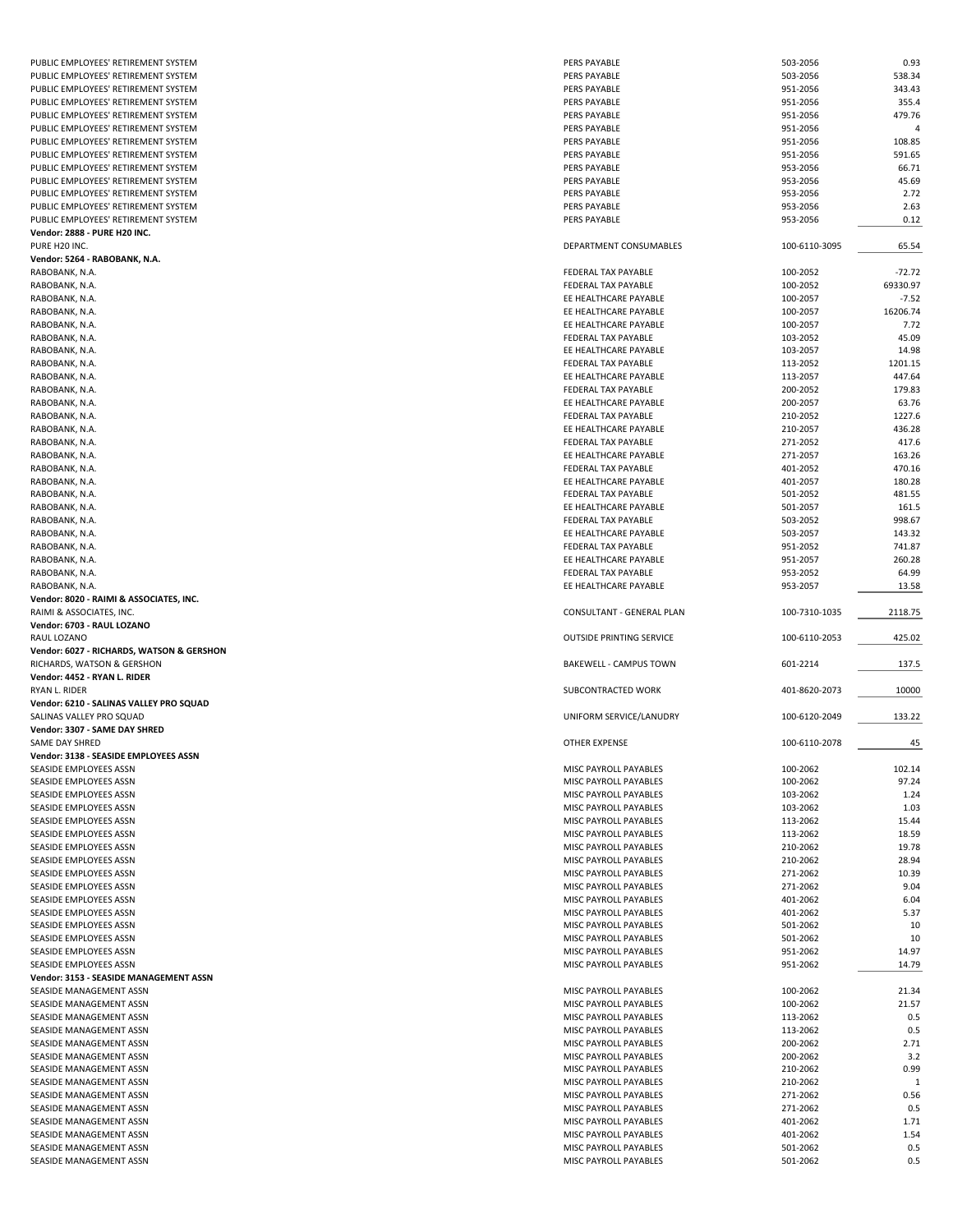| PUBLIC EMPLOYEES' RETIREMENT SYSTEM                | PERS PAYABLE                                   | 503-2056             | 0.93       |
|----------------------------------------------------|------------------------------------------------|----------------------|------------|
| PUBLIC EMPLOYEES' RETIREMENT SYSTEM                | PERS PAYABLE                                   | 503-2056             | 538.34     |
| PUBLIC EMPLOYEES' RETIREMENT SYSTEM                | PERS PAYABLE                                   | 951-2056             | 343.43     |
|                                                    |                                                | 951-2056             |            |
| PUBLIC EMPLOYEES' RETIREMENT SYSTEM                | PERS PAYABLE                                   |                      | 355.4      |
| PUBLIC EMPLOYEES' RETIREMENT SYSTEM                | PERS PAYABLE                                   | 951-2056             | 479.76     |
| PUBLIC EMPLOYEES' RETIREMENT SYSTEM                | PERS PAYABLE                                   | 951-2056             | 4          |
| PUBLIC EMPLOYEES' RETIREMENT SYSTEM                | PERS PAYABLE                                   | 951-2056             | 108.85     |
| PUBLIC EMPLOYEES' RETIREMENT SYSTEM                | PERS PAYABLE                                   | 951-2056             | 591.65     |
| PUBLIC EMPLOYEES' RETIREMENT SYSTEM                | PERS PAYABLE                                   | 953-2056             | 66.71      |
| PUBLIC EMPLOYEES' RETIREMENT SYSTEM                | PERS PAYABLE                                   | 953-2056             | 45.69      |
| PUBLIC EMPLOYEES' RETIREMENT SYSTEM                | PERS PAYABLE                                   | 953-2056             | 2.72       |
|                                                    |                                                | 953-2056             |            |
| PUBLIC EMPLOYEES' RETIREMENT SYSTEM                | PERS PAYABLE                                   |                      | 2.63       |
| PUBLIC EMPLOYEES' RETIREMENT SYSTEM                | PERS PAYABLE                                   | 953-2056             | 0.12       |
| Vendor: 2888 - PURE H20 INC.                       |                                                |                      |            |
| PURE H20 INC.                                      | DEPARTMENT CONSUMABLES                         | 100-6110-3095        | 65.54      |
| Vendor: 5264 - RABOBANK, N.A.                      |                                                |                      |            |
| RABOBANK, N.A.                                     | FEDERAL TAX PAYABLE                            | 100-2052             | $-72.72$   |
| RABOBANK, N.A.                                     | FEDERAL TAX PAYABLE                            | 100-2052             | 69330.97   |
| RABOBANK, N.A.                                     | EE HEALTHCARE PAYABLE                          | 100-2057             | $-7.52$    |
|                                                    |                                                | 100-2057             |            |
| RABOBANK, N.A.                                     | EE HEALTHCARE PAYABLE                          |                      | 16206.74   |
| RABOBANK, N.A.                                     | EE HEALTHCARE PAYABLE                          | 100-2057             | 7.72       |
| RABOBANK, N.A.                                     | FEDERAL TAX PAYABLE                            | 103-2052             | 45.09      |
| RABOBANK, N.A.                                     | EE HEALTHCARE PAYABLE                          | 103-2057             | 14.98      |
| RABOBANK, N.A.                                     | <b>FEDERAL TAX PAYABLE</b>                     | 113-2052             | 1201.15    |
| RABOBANK, N.A.                                     | EE HEALTHCARE PAYABLE                          | 113-2057             | 447.64     |
| RABOBANK, N.A.                                     | FEDERAL TAX PAYABLE                            | 200-2052             | 179.83     |
| RABOBANK, N.A.                                     | EE HEALTHCARE PAYABLE                          | 200-2057             | 63.76      |
|                                                    |                                                |                      |            |
| RABOBANK, N.A.                                     | FEDERAL TAX PAYABLE                            | 210-2052             | 1227.6     |
| RABOBANK, N.A.                                     | EE HEALTHCARE PAYABLE                          | 210-2057             | 436.28     |
| RABOBANK, N.A.                                     | FEDERAL TAX PAYABLE                            | 271-2052             | 417.6      |
| RABOBANK, N.A.                                     | EE HEALTHCARE PAYABLE                          | 271-2057             | 163.26     |
| RABOBANK, N.A.                                     | FEDERAL TAX PAYABLE                            | 401-2052             | 470.16     |
| RABOBANK, N.A.                                     | EE HEALTHCARE PAYABLE                          | 401-2057             | 180.28     |
| RABOBANK, N.A.                                     | <b>FEDERAL TAX PAYABLE</b>                     | 501-2052             | 481.55     |
|                                                    |                                                |                      |            |
| RABOBANK, N.A.                                     | EE HEALTHCARE PAYABLE                          | 501-2057             | 161.5      |
| RABOBANK, N.A.                                     | FEDERAL TAX PAYABLE                            | 503-2052             | 998.67     |
| RABOBANK, N.A.                                     | EE HEALTHCARE PAYABLE                          | 503-2057             | 143.32     |
| RABOBANK, N.A.                                     | FEDERAL TAX PAYABLE                            | 951-2052             | 741.87     |
| RABOBANK, N.A.                                     | EE HEALTHCARE PAYABLE                          | 951-2057             | 260.28     |
| RABOBANK, N.A.                                     | FEDERAL TAX PAYABLE                            | 953-2052             | 64.99      |
| RABOBANK, N.A.                                     | EE HEALTHCARE PAYABLE                          | 953-2057             | 13.58      |
|                                                    |                                                |                      |            |
|                                                    |                                                |                      |            |
| Vendor: 8020 - RAIMI & ASSOCIATES, INC.            |                                                |                      |            |
| RAIMI & ASSOCIATES, INC.                           | CONSULTANT - GENERAL PLAN                      | 100-7310-1035        | 2118.75    |
| Vendor: 6703 - RAUL LOZANO                         |                                                |                      |            |
| RAUL LOZANO                                        | <b>OUTSIDE PRINTING SERVICE</b>                | 100-6110-2053        | 425.02     |
| Vendor: 6027 - RICHARDS, WATSON & GERSHON          |                                                |                      |            |
|                                                    | <b>BAKEWELL - CAMPUS TOWN</b>                  |                      |            |
| RICHARDS, WATSON & GERSHON                         |                                                | 601-2214             | 137.5      |
| Vendor: 4452 - RYAN L. RIDER                       |                                                |                      |            |
| RYAN L. RIDER                                      | SUBCONTRACTED WORK                             | 401-8620-2073        | 10000      |
| Vendor: 6210 - SALINAS VALLEY PRO SQUAD            |                                                |                      |            |
| SALINAS VALLEY PRO SQUAD                           | UNIFORM SERVICE/LANUDRY                        | 100-6120-2049        | 133.22     |
| Vendor: 3307 - SAME DAY SHRED                      |                                                |                      |            |
| SAME DAY SHRED                                     | OTHER EXPENSE                                  | 100-6110-2078        | 45         |
| Vendor: 3138 - SEASIDE EMPLOYEES ASSN              |                                                |                      |            |
| SEASIDE EMPLOYEES ASSN                             |                                                |                      |            |
|                                                    | MISC PAYROLL PAYABLES                          | 100-2062             | 102.14     |
| SEASIDE EMPLOYEES ASSN                             | MISC PAYROLL PAYABLES                          | 100-2062             | 97.24      |
| SEASIDE EMPLOYEES ASSN                             | MISC PAYROLL PAYABLES                          | 103-2062             | 1.24       |
| SEASIDE EMPLOYEES ASSN                             | MISC PAYROLL PAYABLES                          | 103-2062             | 1.03       |
| SEASIDE EMPLOYEES ASSN                             | MISC PAYROLL PAYABLES                          | 113-2062             | 15.44      |
| SEASIDE EMPLOYEES ASSN                             | MISC PAYROLL PAYABLES                          | 113-2062             | 18.59      |
| SEASIDE EMPLOYEES ASSN                             | MISC PAYROLL PAYABLES                          | 210-2062             | 19.78      |
| SEASIDE EMPLOYEES ASSN                             | MISC PAYROLL PAYABLES                          | 210-2062             | 28.94      |
| SEASIDE EMPLOYEES ASSN                             | MISC PAYROLL PAYABLES                          | 271-2062             | 10.39      |
| SEASIDE EMPLOYEES ASSN                             | MISC PAYROLL PAYABLES                          | 271-2062             | 9.04       |
|                                                    |                                                |                      |            |
| SEASIDE EMPLOYEES ASSN                             | MISC PAYROLL PAYABLES                          | 401-2062             | 6.04       |
| SEASIDE EMPLOYEES ASSN                             | MISC PAYROLL PAYABLES                          | 401-2062             | 5.37       |
| SEASIDE EMPLOYEES ASSN                             | MISC PAYROLL PAYABLES                          | 501-2062             | 10         |
| SEASIDE EMPLOYEES ASSN                             | MISC PAYROLL PAYABLES                          | 501-2062             | 10         |
| SEASIDE EMPLOYEES ASSN                             | MISC PAYROLL PAYABLES                          | 951-2062             | 14.97      |
| SEASIDE EMPLOYEES ASSN                             | MISC PAYROLL PAYABLES                          | 951-2062             | 14.79      |
| Vendor: 3153 - SEASIDE MANAGEMENT ASSN             |                                                |                      |            |
| SEASIDE MANAGEMENT ASSN                            | MISC PAYROLL PAYABLES                          | 100-2062             | 21.34      |
|                                                    |                                                |                      |            |
| SEASIDE MANAGEMENT ASSN                            | MISC PAYROLL PAYABLES                          | 100-2062             | 21.57      |
| SEASIDE MANAGEMENT ASSN                            | MISC PAYROLL PAYABLES                          | 113-2062             | 0.5        |
| SEASIDE MANAGEMENT ASSN                            | MISC PAYROLL PAYABLES                          | 113-2062             | 0.5        |
| SEASIDE MANAGEMENT ASSN                            | MISC PAYROLL PAYABLES                          | 200-2062             | 2.71       |
| SEASIDE MANAGEMENT ASSN                            | MISC PAYROLL PAYABLES                          | 200-2062             | 3.2        |
| SEASIDE MANAGEMENT ASSN                            | MISC PAYROLL PAYABLES                          | 210-2062             | 0.99       |
| SEASIDE MANAGEMENT ASSN                            | MISC PAYROLL PAYABLES                          | 210-2062             | 1          |
| SEASIDE MANAGEMENT ASSN                            | MISC PAYROLL PAYABLES                          | 271-2062             | 0.56       |
|                                                    |                                                |                      |            |
| SEASIDE MANAGEMENT ASSN                            | MISC PAYROLL PAYABLES                          | 271-2062             | 0.5        |
| SEASIDE MANAGEMENT ASSN                            | MISC PAYROLL PAYABLES                          | 401-2062             | 1.71       |
| SEASIDE MANAGEMENT ASSN                            | MISC PAYROLL PAYABLES                          | 401-2062             | 1.54       |
| SEASIDE MANAGEMENT ASSN<br>SEASIDE MANAGEMENT ASSN | MISC PAYROLL PAYABLES<br>MISC PAYROLL PAYABLES | 501-2062<br>501-2062 | 0.5<br>0.5 |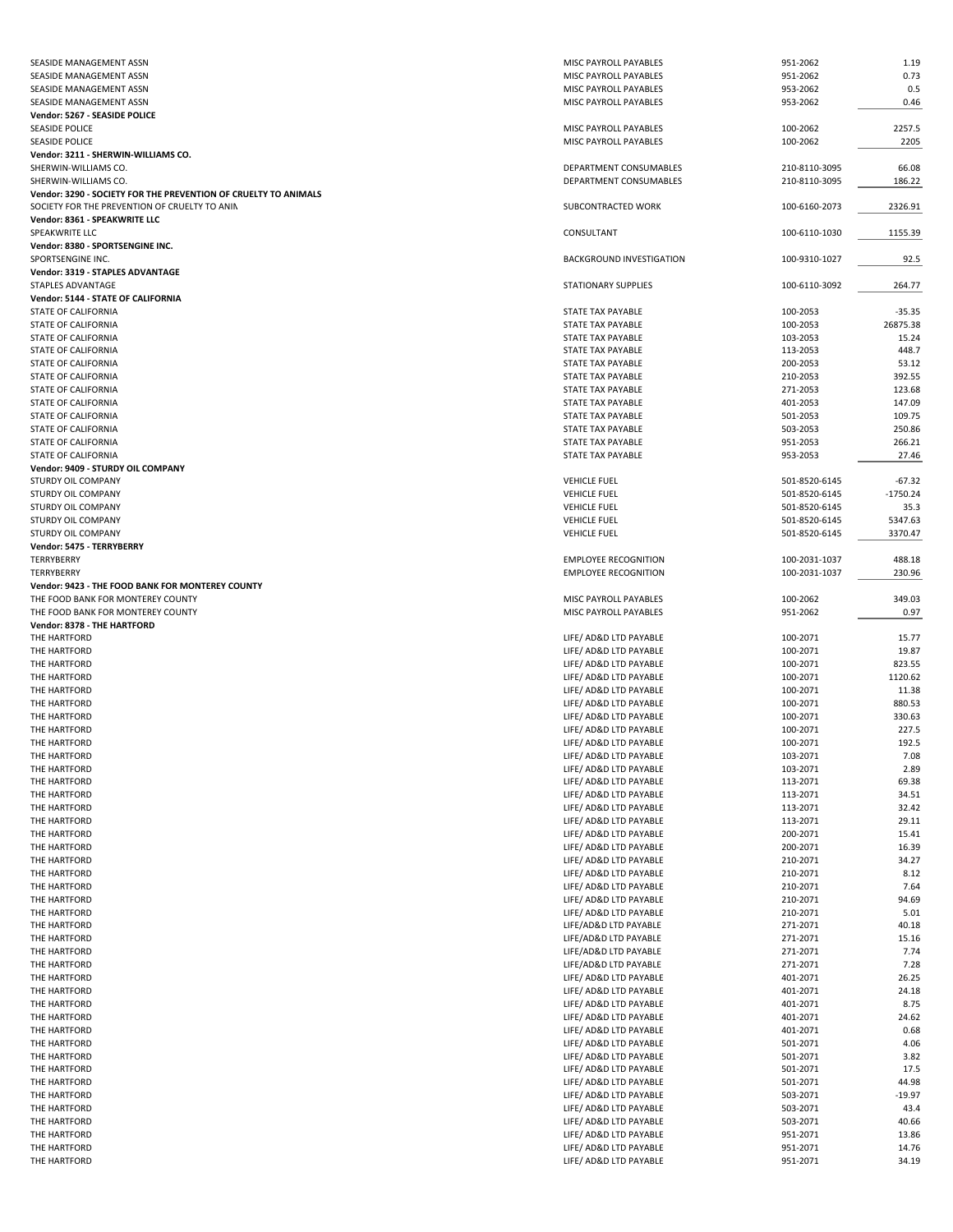| SEASIDE MANAGEMENT ASSN                                         | MISC PAYROLL PAYABLES           | 951-2062      | 1.19       |
|-----------------------------------------------------------------|---------------------------------|---------------|------------|
| SEASIDE MANAGEMENT ASSN                                         | MISC PAYROLL PAYABLES           | 951-2062      | 0.73       |
| SEASIDE MANAGEMENT ASSN                                         | MISC PAYROLL PAYABLES           | 953-2062      | 0.5        |
| SEASIDE MANAGEMENT ASSN                                         | MISC PAYROLL PAYABLES           | 953-2062      | 0.46       |
| Vendor: 5267 - SEASIDE POLICE                                   |                                 |               |            |
| <b>SEASIDE POLICE</b>                                           | MISC PAYROLL PAYABLES           | 100-2062      | 2257.5     |
| <b>SEASIDE POLICE</b>                                           | MISC PAYROLL PAYABLES           | 100-2062      | 2205       |
| Vendor: 3211 - SHERWIN-WILLIAMS CO.                             |                                 |               |            |
| SHERWIN-WILLIAMS CO.                                            | DEPARTMENT CONSUMABLES          | 210-8110-3095 | 66.08      |
| SHERWIN-WILLIAMS CO.                                            | DEPARTMENT CONSUMABLES          | 210-8110-3095 | 186.22     |
| Vendor: 3290 - SOCIETY FOR THE PREVENTION OF CRUELTY TO ANIMALS |                                 |               |            |
| SOCIETY FOR THE PREVENTION OF CRUELTY TO ANIN                   | SUBCONTRACTED WORK              | 100-6160-2073 | 2326.91    |
| Vendor: 8361 - SPEAKWRITE LLC                                   |                                 |               |            |
| SPEAKWRITE LLC                                                  | CONSULTANT                      | 100-6110-1030 | 1155.39    |
| Vendor: 8380 - SPORTSENGINE INC.                                |                                 |               |            |
| SPORTSENGINE INC.                                               | <b>BACKGROUND INVESTIGATION</b> | 100-9310-1027 | 92.5       |
| Vendor: 3319 - STAPLES ADVANTAGE                                |                                 |               |            |
| STAPLES ADVANTAGE                                               | STATIONARY SUPPLIES             | 100-6110-3092 | 264.77     |
| Vendor: 5144 - STATE OF CALIFORNIA                              |                                 |               |            |
| STATE OF CALIFORNIA                                             | STATE TAX PAYABLE               | 100-2053      | $-35.35$   |
| STATE OF CALIFORNIA                                             | STATE TAX PAYABLE               | 100-2053      | 26875.38   |
| STATE OF CALIFORNIA                                             | STATE TAX PAYABLE               | 103-2053      | 15.24      |
|                                                                 |                                 |               | 448.7      |
| STATE OF CALIFORNIA                                             | STATE TAX PAYABLE               | 113-2053      |            |
| STATE OF CALIFORNIA                                             | STATE TAX PAYABLE               | 200-2053      | 53.12      |
| STATE OF CALIFORNIA                                             | STATE TAX PAYABLE               | 210-2053      | 392.55     |
| <b>STATE OF CALIFORNIA</b>                                      | STATE TAX PAYABLE               | 271-2053      | 123.68     |
| STATE OF CALIFORNIA                                             | STATE TAX PAYABLE               | 401-2053      | 147.09     |
| STATE OF CALIFORNIA                                             | <b>STATE TAX PAYABLE</b>        | 501-2053      | 109.75     |
| STATE OF CALIFORNIA                                             | STATE TAX PAYABLE               | 503-2053      | 250.86     |
| STATE OF CALIFORNIA                                             | STATE TAX PAYABLE               | 951-2053      | 266.21     |
| <b>STATE OF CALIFORNIA</b>                                      | STATE TAX PAYABLE               | 953-2053      | 27.46      |
| Vendor: 9409 - STURDY OIL COMPANY                               |                                 |               |            |
| STURDY OIL COMPANY                                              | <b>VEHICLE FUEL</b>             | 501-8520-6145 | $-67.32$   |
| STURDY OIL COMPANY                                              | <b>VEHICLE FUEL</b>             | 501-8520-6145 | $-1750.24$ |
| STURDY OIL COMPANY                                              | <b>VEHICLE FUEL</b>             | 501-8520-6145 | 35.3       |
| STURDY OIL COMPANY                                              | <b>VEHICLE FUEL</b>             | 501-8520-6145 | 5347.63    |
| STURDY OIL COMPANY                                              | <b>VEHICLE FUEL</b>             | 501-8520-6145 | 3370.47    |
| Vendor: 5475 - TERRYBERRY                                       |                                 |               |            |
| TERRYBERRY                                                      | <b>EMPLOYEE RECOGNITION</b>     | 100-2031-1037 | 488.18     |
| TERRYBERRY                                                      | <b>EMPLOYEE RECOGNITION</b>     | 100-2031-1037 | 230.96     |
| Vendor: 9423 - THE FOOD BANK FOR MONTEREY COUNTY                |                                 |               |            |
| THE FOOD BANK FOR MONTEREY COUNTY                               | MISC PAYROLL PAYABLES           | 100-2062      | 349.03     |
| THE FOOD BANK FOR MONTEREY COUNTY                               | MISC PAYROLL PAYABLES           | 951-2062      | 0.97       |
| Vendor: 8378 - THE HARTFORD                                     |                                 |               |            |
| THE HARTFORD                                                    | LIFE/ AD&D LTD PAYABLE          | 100-2071      | 15.77      |
| THE HARTFORD                                                    | LIFE/ AD&D LTD PAYABLE          | 100-2071      | 19.87      |
| THE HARTFORD                                                    | LIFE/ AD&D LTD PAYABLE          | 100-2071      | 823.55     |
|                                                                 |                                 | 100-2071      |            |
| THE HARTFORD                                                    | LIFE/ AD&D LTD PAYABLE          |               | 1120.62    |
| THE HARTFORD                                                    | LIFE/ AD&D LTD PAYABLE          | 100-2071      | 11.38      |
| THE HARTFORD                                                    | LIFE/ AD&D LTD PAYABLE          | 100-2071      | 880.53     |
| THE HARTFORD                                                    | LIFE/ AD&D LTD PAYABLE          | 100-2071      | 330.63     |
| THE HARTFORD                                                    | LIFE/ AD&D LTD PAYABLE          | 100-2071      | 227.5      |
| THE HARTFORD                                                    | LIFE/ AD&D LTD PAYABLE          | 100-2071      | 192.5      |
| THE HARTFORD                                                    | LIFE/ AD&D LTD PAYABLE          | 103-2071      | 7.08       |
| THE HARTFORD                                                    | LIFE/ AD&D LTD PAYABLE          | 103-2071      | 2.89       |
| THE HARTFORD                                                    | LIFE/ AD&D LTD PAYABLE          | 113-2071      | 69.38      |
| THE HARTFORD                                                    | LIFE/ AD&D LTD PAYABLE          | 113-2071      | 34.51      |
| THE HARTFORD                                                    | LIFE/ AD&D LTD PAYABLE          | 113-2071      | 32.42      |
| THE HARTFORD                                                    | LIFE/ AD&D LTD PAYABLE          | 113-2071      | 29.11      |
| THE HARTFORD                                                    | LIFE/ AD&D LTD PAYABLE          | 200-2071      | 15.41      |
| THE HARTFORD                                                    | LIFE/ AD&D LTD PAYABLE          | 200-2071      | 16.39      |
| THE HARTFORD                                                    | LIFE/ AD&D LTD PAYABLE          | 210-2071      | 34.27      |
| THE HARTFORD                                                    | LIFE/ AD&D LTD PAYABLE          | 210-2071      | 8.12       |
| THE HARTFORD                                                    | LIFE/ AD&D LTD PAYABLE          | 210-2071      | 7.64       |
| THE HARTFORD                                                    | LIFE/ AD&D LTD PAYABLE          | 210-2071      | 94.69      |
| THE HARTFORD                                                    | LIFE/ AD&D LTD PAYABLE          | 210-2071      | 5.01       |
| THE HARTFORD                                                    | LIFE/AD&D LTD PAYABLE           | 271-2071      | 40.18      |
| THE HARTFORD                                                    | LIFE/AD&D LTD PAYABLE           | 271-2071      | 15.16      |
| THE HARTFORD                                                    | LIFE/AD&D LTD PAYABLE           | 271-2071      | 7.74       |
| THE HARTFORD                                                    | LIFE/AD&D LTD PAYABLE           | 271-2071      | 7.28       |
| THE HARTFORD                                                    | LIFE/ AD&D LTD PAYABLE          | 401-2071      | 26.25      |
| THE HARTFORD                                                    | LIFE/ AD&D LTD PAYABLE          | 401-2071      | 24.18      |
| THE HARTFORD                                                    | LIFE/ AD&D LTD PAYABLE          | 401-2071      | 8.75       |
| THE HARTFORD                                                    | LIFE/ AD&D LTD PAYABLE          | 401-2071      | 24.62      |
| THE HARTFORD                                                    | LIFE/ AD&D LTD PAYABLE          | 401-2071      | 0.68       |
| THE HARTFORD                                                    | LIFE/ AD&D LTD PAYABLE          | 501-2071      | 4.06       |
| THE HARTFORD                                                    | LIFE/ AD&D LTD PAYABLE          | 501-2071      | 3.82       |
| THE HARTFORD                                                    | LIFE/ AD&D LTD PAYABLE          | 501-2071      | 17.5       |
| THE HARTFORD                                                    | LIFE/ AD&D LTD PAYABLE          | 501-2071      | 44.98      |
| THE HARTFORD                                                    | LIFE/ AD&D LTD PAYABLE          | 503-2071      | $-19.97$   |
| THE HARTFORD                                                    | LIFE/ AD&D LTD PAYABLE          |               | 43.4       |
| THE HARTFORD                                                    |                                 | 503-2071      | 40.66      |
|                                                                 | LIFE/ AD&D LTD PAYABLE          | 503-2071      |            |
| THE HARTFORD                                                    | LIFE/ AD&D LTD PAYABLE          | 951-2071      | 13.86      |
| THE HARTFORD                                                    | LIFE/ AD&D LTD PAYABLE          | 951-2071      | 14.76      |
| THE HARTFORD                                                    | LIFE/ AD&D LTD PAYABLE          | 951-2071      | 34.19      |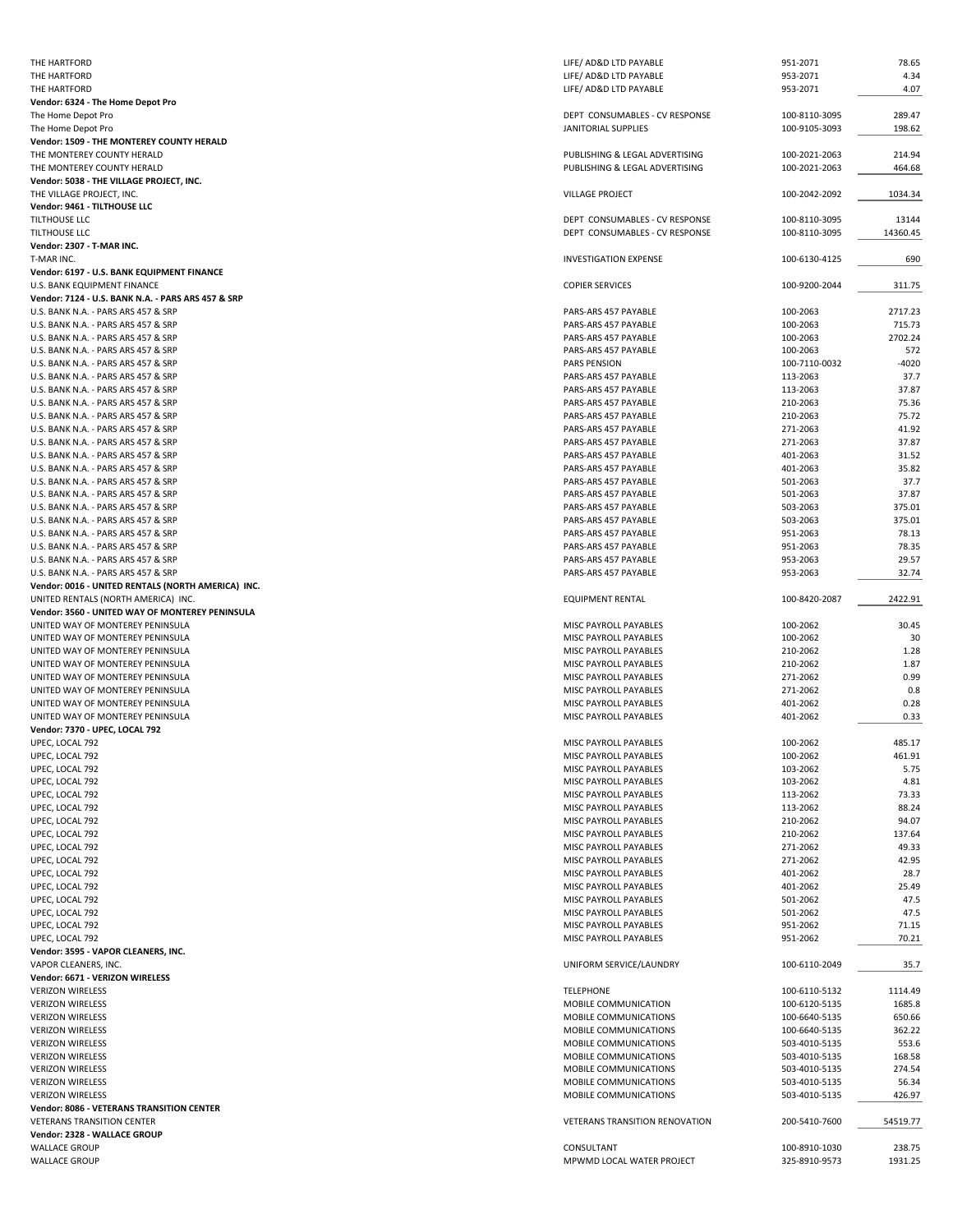| THE HARTFORD                                                                              | LIFE/ AD&D LTD PAYABLE                         | 951-2071                       | 78.65             |
|-------------------------------------------------------------------------------------------|------------------------------------------------|--------------------------------|-------------------|
| THE HARTFORD                                                                              | LIFE/ AD&D LTD PAYABLE                         | 953-2071                       | 4.34              |
| THE HARTFORD<br>Vendor: 6324 - The Home Depot Pro                                         | LIFE/ AD&D LTD PAYABLE                         | 953-2071                       | 4.07              |
| The Home Depot Pro                                                                        | DEPT CONSUMABLES - CV RESPONSE                 | 100-8110-3095                  | 289.47            |
| The Home Depot Pro                                                                        | JANITORIAL SUPPLIES                            | 100-9105-3093                  | 198.62            |
| Vendor: 1509 - THE MONTEREY COUNTY HERALD                                                 |                                                |                                |                   |
| THE MONTEREY COUNTY HERALD                                                                | PUBLISHING & LEGAL ADVERTISING                 | 100-2021-2063                  | 214.94            |
| THE MONTEREY COUNTY HERALD<br>Vendor: 5038 - THE VILLAGE PROJECT, INC.                    | PUBLISHING & LEGAL ADVERTISING                 | 100-2021-2063                  | 464.68            |
| THE VILLAGE PROJECT, INC.                                                                 | <b>VILLAGE PROJECT</b>                         | 100-2042-2092                  | 1034.34           |
| Vendor: 9461 - TILTHOUSE LLC                                                              |                                                |                                |                   |
| TILTHOUSE LLC                                                                             | DEPT CONSUMABLES - CV RESPONSE                 | 100-8110-3095                  | 13144             |
| TILTHOUSE LLC<br>Vendor: 2307 - T-MAR INC.                                                | DEPT CONSUMABLES - CV RESPONSE                 | 100-8110-3095                  | 14360.45          |
| T-MAR INC.                                                                                | <b>INVESTIGATION EXPENSE</b>                   | 100-6130-4125                  | 690               |
| Vendor: 6197 - U.S. BANK EQUIPMENT FINANCE                                                |                                                |                                |                   |
| U.S. BANK EQUIPMENT FINANCE                                                               | <b>COPIER SERVICES</b>                         | 100-9200-2044                  | 311.75            |
| Vendor: 7124 - U.S. BANK N.A. - PARS ARS 457 & SRP<br>U.S. BANK N.A. - PARS ARS 457 & SRP | PARS-ARS 457 PAYABLE                           | 100-2063                       | 2717.23           |
| U.S. BANK N.A. - PARS ARS 457 & SRP                                                       | PARS-ARS 457 PAYABLE                           | 100-2063                       | 715.73            |
| U.S. BANK N.A. - PARS ARS 457 & SRP                                                       | PARS-ARS 457 PAYABLE                           | 100-2063                       | 2702.24           |
| U.S. BANK N.A. - PARS ARS 457 & SRP                                                       | PARS-ARS 457 PAYABLE                           | 100-2063                       | 572               |
| U.S. BANK N.A. - PARS ARS 457 & SRP                                                       | <b>PARS PENSION</b>                            | 100-7110-0032                  | $-4020$           |
| U.S. BANK N.A. - PARS ARS 457 & SRP<br>U.S. BANK N.A. - PARS ARS 457 & SRP                | PARS-ARS 457 PAYABLE<br>PARS-ARS 457 PAYABLE   | 113-2063<br>113-2063           | 37.7<br>37.87     |
| U.S. BANK N.A. - PARS ARS 457 & SRP                                                       | PARS-ARS 457 PAYABLE                           | 210-2063                       | 75.36             |
| U.S. BANK N.A. - PARS ARS 457 & SRP                                                       | PARS-ARS 457 PAYABLE                           | 210-2063                       | 75.72             |
| U.S. BANK N.A. - PARS ARS 457 & SRP                                                       | PARS-ARS 457 PAYABLE                           | 271-2063                       | 41.92             |
| U.S. BANK N.A. - PARS ARS 457 & SRP<br>U.S. BANK N.A. - PARS ARS 457 & SRP                | PARS-ARS 457 PAYABLE<br>PARS-ARS 457 PAYABLE   | 271-2063<br>401-2063           | 37.87<br>31.52    |
| U.S. BANK N.A. - PARS ARS 457 & SRP                                                       | PARS-ARS 457 PAYABLE                           | 401-2063                       | 35.82             |
| U.S. BANK N.A. - PARS ARS 457 & SRP                                                       | PARS-ARS 457 PAYABLE                           | 501-2063                       | 37.7              |
| U.S. BANK N.A. - PARS ARS 457 & SRP                                                       | PARS-ARS 457 PAYABLE                           | 501-2063                       | 37.87             |
| U.S. BANK N.A. - PARS ARS 457 & SRP                                                       | PARS-ARS 457 PAYABLE                           | 503-2063                       | 375.01            |
| U.S. BANK N.A. - PARS ARS 457 & SRP<br>U.S. BANK N.A. - PARS ARS 457 & SRP                | PARS-ARS 457 PAYABLE<br>PARS-ARS 457 PAYABLE   | 503-2063<br>951-2063           | 375.01<br>78.13   |
| U.S. BANK N.A. - PARS ARS 457 & SRP                                                       | PARS-ARS 457 PAYABLE                           | 951-2063                       | 78.35             |
| U.S. BANK N.A. - PARS ARS 457 & SRP                                                       | PARS-ARS 457 PAYABLE                           | 953-2063                       | 29.57             |
| U.S. BANK N.A. - PARS ARS 457 & SRP                                                       | PARS-ARS 457 PAYABLE                           | 953-2063                       | 32.74             |
| Vendor: 0016 - UNITED RENTALS (NORTH AMERICA) INC.                                        |                                                |                                |                   |
| UNITED RENTALS (NORTH AMERICA) INC.                                                       | <b>EQUIPMENT RENTAL</b>                        | 100-8420-2087                  | 2422.91           |
|                                                                                           |                                                |                                |                   |
| Vendor: 3560 - UNITED WAY OF MONTEREY PENINSULA<br>UNITED WAY OF MONTEREY PENINSULA       | MISC PAYROLL PAYABLES                          | 100-2062                       | 30.45             |
| UNITED WAY OF MONTEREY PENINSULA                                                          | MISC PAYROLL PAYABLES                          | 100-2062                       | 30                |
| UNITED WAY OF MONTEREY PENINSULA                                                          | MISC PAYROLL PAYABLES                          | 210-2062                       | 1.28              |
| UNITED WAY OF MONTEREY PENINSULA                                                          | MISC PAYROLL PAYABLES                          | 210-2062                       | 1.87              |
| UNITED WAY OF MONTEREY PENINSULA                                                          | MISC PAYROLL PAYABLES                          | 271-2062                       | 0.99              |
| UNITED WAY OF MONTEREY PENINSULA<br>UNITED WAY OF MONTEREY PENINSULA                      | MISC PAYROLL PAYABLES<br>MISC PAYROLL PAYABLES | 271-2062<br>401-2062           | 0.8<br>0.28       |
| UNITED WAY OF MONTEREY PENINSULA                                                          | MISC PAYROLL PAYABLES                          | 401-2062                       | 0.33              |
| Vendor: 7370 - UPEC, LOCAL 792                                                            |                                                |                                |                   |
| UPEC, LOCAL 792                                                                           | MISC PAYROLL PAYABLES                          | 100-2062                       | 485.17            |
| UPEC, LOCAL 792<br>UPEC, LOCAL 792                                                        | MISC PAYROLL PAYABLES<br>MISC PAYROLL PAYABLES | 100-2062<br>103-2062           | 461.91<br>5.75    |
| UPEC, LOCAL 792                                                                           | MISC PAYROLL PAYABLES                          | 103-2062                       | 4.81              |
| UPEC, LOCAL 792                                                                           | MISC PAYROLL PAYABLES                          | 113-2062                       | 73.33             |
| UPEC, LOCAL 792                                                                           | MISC PAYROLL PAYABLES                          | 113-2062                       | 88.24             |
| UPEC, LOCAL 792                                                                           | MISC PAYROLL PAYABLES                          | 210-2062                       | 94.07             |
| UPEC, LOCAL 792<br>UPEC, LOCAL 792                                                        | MISC PAYROLL PAYABLES<br>MISC PAYROLL PAYABLES | 210-2062<br>271-2062           | 137.64<br>49.33   |
| UPEC, LOCAL 792                                                                           | MISC PAYROLL PAYABLES                          | 271-2062                       | 42.95             |
| UPEC, LOCAL 792                                                                           | MISC PAYROLL PAYABLES                          | 401-2062                       | 28.7              |
| UPEC, LOCAL 792                                                                           | MISC PAYROLL PAYABLES                          | 401-2062                       | 25.49             |
| UPEC, LOCAL 792<br>UPEC, LOCAL 792                                                        | MISC PAYROLL PAYABLES<br>MISC PAYROLL PAYABLES | 501-2062<br>501-2062           | 47.5<br>47.5      |
| UPEC, LOCAL 792                                                                           | MISC PAYROLL PAYABLES                          | 951-2062                       | 71.15             |
| UPEC, LOCAL 792                                                                           | MISC PAYROLL PAYABLES                          | 951-2062                       | 70.21             |
| Vendor: 3595 - VAPOR CLEANERS, INC.                                                       |                                                |                                |                   |
| VAPOR CLEANERS, INC.<br>Vendor: 6671 - VERIZON WIRELESS                                   | UNIFORM SERVICE/LAUNDRY                        | 100-6110-2049                  | 35.7              |
| <b>VERIZON WIRELESS</b>                                                                   | <b>TELEPHONE</b>                               | 100-6110-5132                  | 1114.49           |
| <b>VERIZON WIRELESS</b>                                                                   | MOBILE COMMUNICATION                           | 100-6120-5135                  | 1685.8            |
| <b>VERIZON WIRELESS</b>                                                                   | MOBILE COMMUNICATIONS                          | 100-6640-5135                  | 650.66            |
| <b>VERIZON WIRELESS</b>                                                                   | MOBILE COMMUNICATIONS                          | 100-6640-5135                  | 362.22            |
| <b>VERIZON WIRELESS</b><br><b>VERIZON WIRELESS</b>                                        | MOBILE COMMUNICATIONS<br>MOBILE COMMUNICATIONS | 503-4010-5135<br>503-4010-5135 | 553.6<br>168.58   |
| <b>VERIZON WIRELESS</b>                                                                   | MOBILE COMMUNICATIONS                          | 503-4010-5135                  | 274.54            |
| <b>VERIZON WIRELESS</b>                                                                   | MOBILE COMMUNICATIONS                          | 503-4010-5135                  | 56.34             |
| <b>VERIZON WIRELESS</b>                                                                   | MOBILE COMMUNICATIONS                          | 503-4010-5135                  | 426.97            |
| <b>Vendor: 8086 - VETERANS TRANSITION CENTER</b><br><b>VETERANS TRANSITION CENTER</b>     | VETERANS TRANSITION RENOVATION                 | 200-5410-7600                  | 54519.77          |
| Vendor: 2328 - WALLACE GROUP                                                              |                                                |                                |                   |
| <b>WALLACE GROUP</b><br><b>WALLACE GROUP</b>                                              | CONSULTANT<br>MPWMD LOCAL WATER PROJECT        | 100-8910-1030<br>325-8910-9573 | 238.75<br>1931.25 |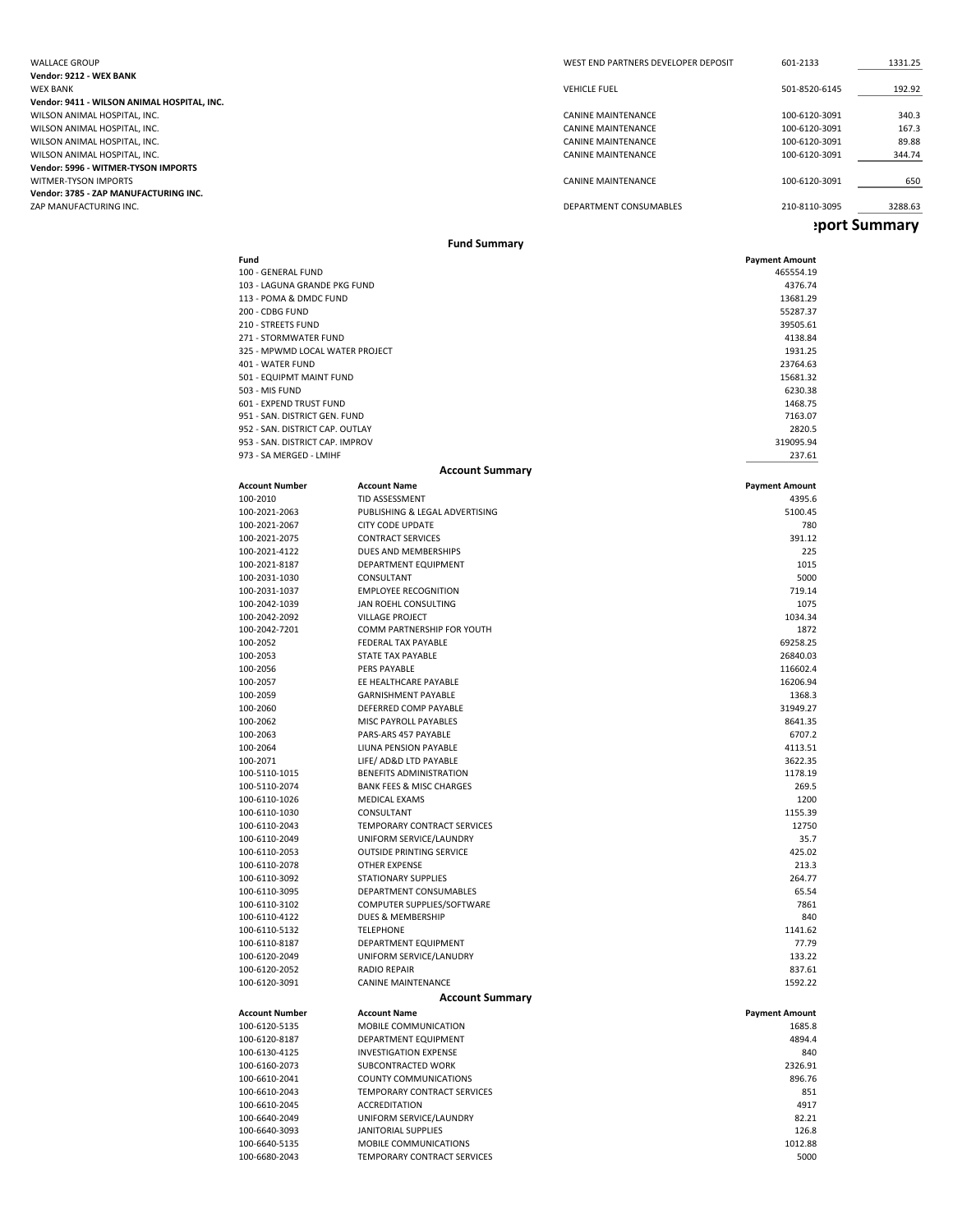WEST END PARTNERS DEVELOPER DEPOSIT 601-2133 1331.25 **Vendor: 9212 ‐ WEX BANK** WEX BANK VEHICLE FUEL 501‐8520‐6145 192.92 **Vendor: 9411 ‐ WILSON ANIMAL HOSPITAL, INC.** WILSON ANIMAL HOSPITAL, INC. CANINE MAINTENANCE 100‐6120‐3091 340.3 WILSON ANIMAL HOSPITAL, INC. CANINE MAINTENANCE CANINE MAINTENANCE 2001<br>WILSON ANIMAL HOSPITAL, INC. CANINE MAINTENANCE 2001 2001 167.3 CANINE MAINTENANCE 2001 2001 2001 2001 200388 WILSON ANIMAL HOSPITAL, INC. SAN ANIMAL HOSPITAL, INC. SAN ANIMAL HOSPITAL, INC. CANINE MAINTENANCE CONNE MAINTENANCE CONNE MAINTENANCE CONNE MAINTENANCE CONNE MAINTENANCE CONNE MAINTENANCE CONNE MAINTENANCE CONNE MAINTENA WILSON ANIMAL HOSPITAL, INC. **Vendor: 5996 ‐ WITMER‐TYSON IMPORTS** WITMER-TYSON IMPORTS **CANINE MAINTENANCE** CANINE MAINTENANCE 100–6120–3091 100–6120–3091 100–6120–650 **Vendor: 3785 ‐ ZAP MANUFACTURING INC.** DEPARTMENT CONSUMABLES 210-8110-3095 3288.63 **eport Summary**

#### **Fund Summary**

| Fund                                                               |                                                      | <b>Payment Amount</b> |
|--------------------------------------------------------------------|------------------------------------------------------|-----------------------|
| 100 - GENERAL FUND                                                 |                                                      | 465554.19             |
| 103 - LAGUNA GRANDE PKG FUND                                       |                                                      | 4376.74               |
| 113 - POMA & DMDC FUND<br>200 - CDBG FUND                          |                                                      | 13681.29<br>55287.37  |
| 210 - STREETS FUND                                                 |                                                      | 39505.61              |
| 271 - STORMWATER FUND                                              |                                                      | 4138.84               |
| 325 - MPWMD LOCAL WATER PROJECT                                    |                                                      | 1931.25               |
| 401 - WATER FUND                                                   |                                                      | 23764.63              |
| 501 - EQUIPMT MAINT FUND                                           |                                                      | 15681.32              |
| 503 - MIS FUND                                                     |                                                      | 6230.38               |
| 601 - EXPEND TRUST FUND                                            |                                                      | 1468.75               |
| 951 - SAN. DISTRICT GEN. FUND                                      |                                                      | 7163.07               |
| 952 - SAN. DISTRICT CAP. OUTLAY<br>953 - SAN. DISTRICT CAP. IMPROV |                                                      | 2820.5<br>319095.94   |
| 973 - SA MERGED - LMIHF                                            |                                                      | 237.61                |
|                                                                    | <b>Account Summary</b>                               |                       |
| <b>Account Number</b>                                              | <b>Account Name</b>                                  | <b>Payment Amount</b> |
| 100-2010                                                           | TID ASSESSMENT                                       | 4395.6                |
| 100-2021-2063                                                      | PUBLISHING & LEGAL ADVERTISING                       | 5100.45               |
| 100-2021-2067                                                      | <b>CITY CODE UPDATE</b>                              | 780                   |
| 100-2021-2075                                                      | <b>CONTRACT SERVICES</b>                             | 391.12                |
| 100-2021-4122                                                      | DUES AND MEMBERSHIPS                                 | 225                   |
| 100-2021-8187                                                      | DEPARTMENT EQUIPMENT                                 | 1015                  |
| 100-2031-1030                                                      | CONSULTANT                                           | 5000                  |
| 100-2031-1037                                                      | <b>EMPLOYEE RECOGNITION</b>                          | 719.14                |
| 100-2042-1039                                                      | JAN ROEHL CONSULTING                                 | 1075                  |
| 100-2042-2092<br>100-2042-7201                                     | <b>VILLAGE PROJECT</b><br>COMM PARTNERSHIP FOR YOUTH | 1034.34<br>1872       |
| 100-2052                                                           | FEDERAL TAX PAYABLE                                  | 69258.25              |
| 100-2053                                                           | STATE TAX PAYABLE                                    | 26840.03              |
| 100-2056                                                           | PERS PAYABLE                                         | 116602.4              |
| 100-2057                                                           | EE HEALTHCARE PAYABLE                                | 16206.94              |
| 100-2059                                                           | <b>GARNISHMENT PAYABLE</b>                           | 1368.3                |
| 100-2060                                                           | DEFERRED COMP PAYABLE                                | 31949.27              |
| 100-2062                                                           | MISC PAYROLL PAYABLES                                | 8641.35               |
| 100-2063                                                           | PARS-ARS 457 PAYABLE                                 | 6707.2                |
| 100-2064                                                           | LIUNA PENSION PAYABLE                                | 4113.51               |
| 100-2071                                                           | LIFE/ AD&D LTD PAYABLE                               | 3622.35               |
| 100-5110-1015                                                      | BENEFITS ADMINISTRATION                              | 1178.19               |
| 100-5110-2074                                                      | <b>BANK FEES &amp; MISC CHARGES</b>                  | 269.5<br>1200         |
| 100-6110-1026<br>100-6110-1030                                     | MEDICAL EXAMS<br>CONSULTANT                          | 1155.39               |
| 100-6110-2043                                                      | TEMPORARY CONTRACT SERVICES                          | 12750                 |
| 100-6110-2049                                                      | UNIFORM SERVICE/LAUNDRY                              | 35.7                  |
| 100-6110-2053                                                      | <b>OUTSIDE PRINTING SERVICE</b>                      | 425.02                |
| 100-6110-2078                                                      | OTHER EXPENSE                                        | 213.3                 |
| 100-6110-3092                                                      | <b>STATIONARY SUPPLIES</b>                           | 264.77                |
| 100-6110-3095                                                      | DEPARTMENT CONSUMABLES                               | 65.54                 |
| 100-6110-3102                                                      | COMPUTER SUPPLIES/SOFTWARE                           | 7861                  |
| 100-6110-4122                                                      | DUES & MEMBERSHIP                                    | 840                   |
| 100-6110-5132                                                      | <b>TELEPHONE</b>                                     | 1141.62               |
| 100-6110-8187                                                      | <b>DEPARTMENT EQUIPMENT</b>                          | 77.79                 |
| 100-6120-2049<br>100-6120-2052                                     | UNIFORM SERVICE/LANUDRY<br>RADIO REPAIR              | 133.22<br>837.61      |
| 100-6120-3091                                                      | CANINE MAINTENANCE                                   | 1592.22               |
|                                                                    | <b>Account Summary</b>                               |                       |
| <b>Account Number</b>                                              | <b>Account Name</b>                                  | <b>Payment Amount</b> |
| 100-6120-5135                                                      | MOBILE COMMUNICATION                                 | 1685.8                |
| 100-6120-8187                                                      | DEPARTMENT EQUIPMENT                                 | 4894.4                |
| 100-6130-4125                                                      | <b>INVESTIGATION EXPENSE</b>                         | 840                   |
| 100-6160-2073                                                      | SUBCONTRACTED WORK                                   | 2326.91               |
| 100-6610-2041                                                      | <b>COUNTY COMMUNICATIONS</b>                         | 896.76                |
| 100-6610-2043                                                      | TEMPORARY CONTRACT SERVICES                          | 851                   |
| 100-6610-2045                                                      | <b>ACCREDITATION</b>                                 | 4917                  |
| 100-6640-2049                                                      | UNIFORM SERVICE/LAUNDRY                              | 82.21                 |
| 100-6640-3093                                                      | JANITORIAL SUPPLIES                                  | 126.8                 |
| 100-6640-5135                                                      | MOBILE COMMUNICATIONS                                | 1012.88               |

‐6680‐2043 TEMPORARY CONTRACT SERVICES 5000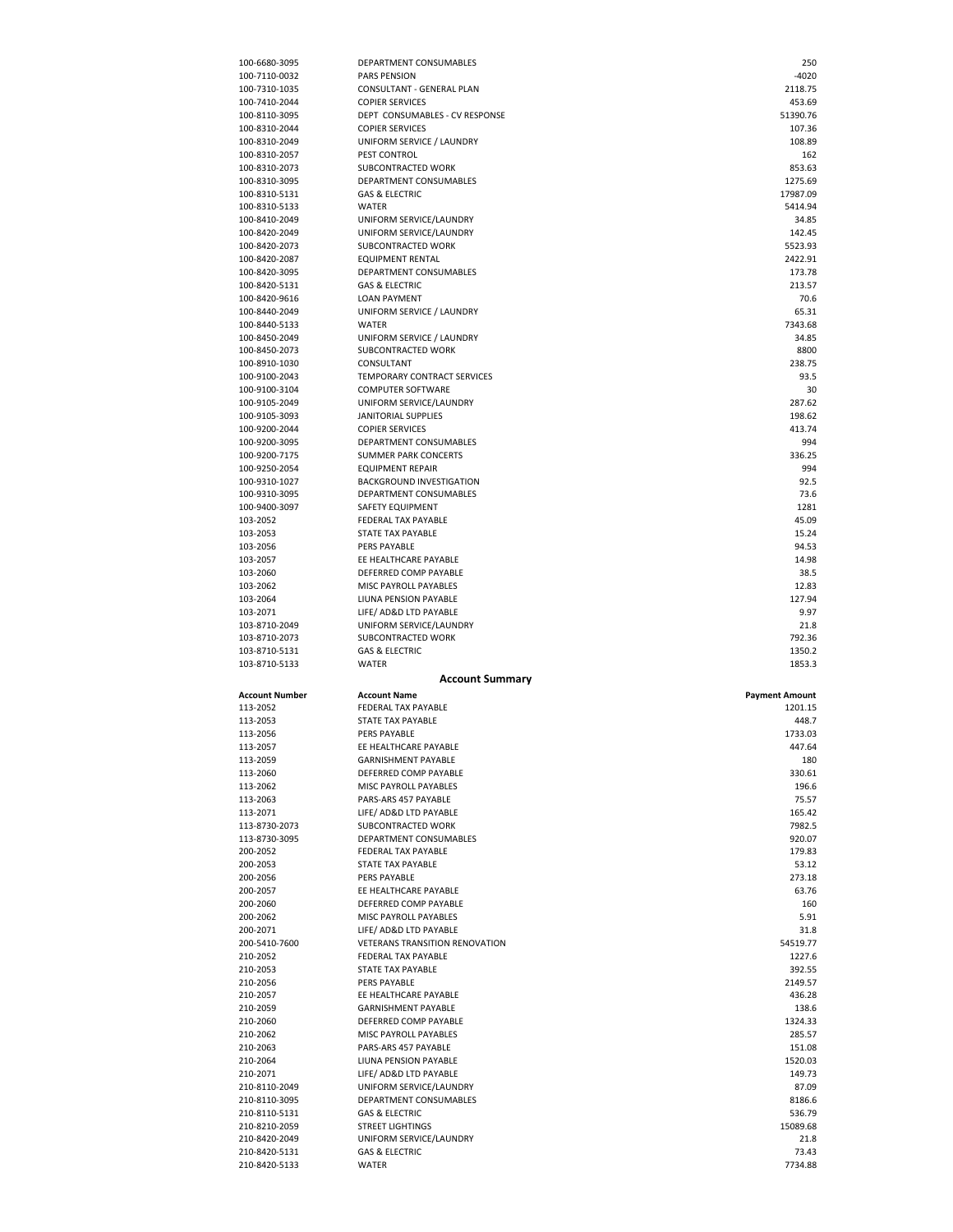| 100-6680-3095                  | DEPARTMENT CONSUMABLES                                | 250                   |
|--------------------------------|-------------------------------------------------------|-----------------------|
| 100-7110-0032                  | <b>PARS PENSION</b>                                   | $-4020$               |
| 100-7310-1035<br>100-7410-2044 | CONSULTANT - GENERAL PLAN<br><b>COPIER SERVICES</b>   | 2118.75<br>453.69     |
| 100-8110-3095                  | DEPT CONSUMABLES - CV RESPONSE                        | 51390.76              |
| 100-8310-2044                  | <b>COPIER SERVICES</b>                                | 107.36                |
| 100-8310-2049                  | UNIFORM SERVICE / LAUNDRY                             | 108.89                |
| 100-8310-2057                  | PEST CONTROL                                          | 162                   |
| 100-8310-2073                  | SUBCONTRACTED WORK                                    | 853.63                |
| 100-8310-3095                  | DEPARTMENT CONSUMABLES<br><b>GAS &amp; ELECTRIC</b>   | 1275.69<br>17987.09   |
| 100-8310-5131<br>100-8310-5133 | WATER                                                 | 5414.94               |
| 100-8410-2049                  | UNIFORM SERVICE/LAUNDRY                               | 34.85                 |
| 100-8420-2049                  | UNIFORM SERVICE/LAUNDRY                               | 142.45                |
| 100-8420-2073                  | SUBCONTRACTED WORK                                    | 5523.93               |
| 100-8420-2087                  | <b>EQUIPMENT RENTAL</b>                               | 2422.91               |
| 100-8420-3095                  | DEPARTMENT CONSUMABLES                                | 173.78                |
| 100-8420-5131                  | <b>GAS &amp; ELECTRIC</b>                             | 213.57                |
| 100-8420-9616<br>100-8440-2049 | <b>LOAN PAYMENT</b><br>UNIFORM SERVICE / LAUNDRY      | 70.6<br>65.31         |
| 100-8440-5133                  | <b>WATER</b>                                          | 7343.68               |
| 100-8450-2049                  | UNIFORM SERVICE / LAUNDRY                             | 34.85                 |
| 100-8450-2073                  | SUBCONTRACTED WORK                                    | 8800                  |
| 100-8910-1030                  | CONSULTANT                                            | 238.75                |
| 100-9100-2043                  | TEMPORARY CONTRACT SERVICES                           | 93.5                  |
| 100-9100-3104                  | <b>COMPUTER SOFTWARE</b>                              | 30                    |
| 100-9105-2049<br>100-9105-3093 | UNIFORM SERVICE/LAUNDRY<br><b>JANITORIAL SUPPLIES</b> | 287.62<br>198.62      |
| 100-9200-2044                  | <b>COPIER SERVICES</b>                                | 413.74                |
| 100-9200-3095                  | DEPARTMENT CONSUMABLES                                | 994                   |
| 100-9200-7175                  | <b>SUMMER PARK CONCERTS</b>                           | 336.25                |
| 100-9250-2054                  | <b>EQUIPMENT REPAIR</b>                               | 994                   |
| 100-9310-1027                  | BACKGROUND INVESTIGATION                              | 92.5                  |
| 100-9310-3095                  | DEPARTMENT CONSUMABLES                                | 73.6                  |
| 100-9400-3097                  | SAFETY EQUIPMENT                                      | 1281                  |
| 103-2052<br>103-2053           | FEDERAL TAX PAYABLE<br>STATE TAX PAYABLE              | 45.09<br>15.24        |
| 103-2056                       | PERS PAYABLE                                          | 94.53                 |
| 103-2057                       | EE HEALTHCARE PAYABLE                                 | 14.98                 |
| 103-2060                       | DEFERRED COMP PAYABLE                                 | 38.5                  |
| 103-2062                       | MISC PAYROLL PAYABLES                                 | 12.83                 |
| 103-2064                       | LIUNA PENSION PAYABLE                                 | 127.94                |
|                                |                                                       |                       |
| 103-2071                       | LIFE/ AD&D LTD PAYABLE                                | 9.97                  |
| 103-8710-2049                  | UNIFORM SERVICE/LAUNDRY                               | 21.8                  |
| 103-8710-2073                  | SUBCONTRACTED WORK                                    | 792.36                |
| 103-8710-5131<br>103-8710-5133 | <b>GAS &amp; ELECTRIC</b><br><b>WATER</b>             | 1350.2<br>1853.3      |
|                                | <b>Account Summary</b>                                |                       |
| <b>Account Number</b>          | <b>Account Name</b>                                   | <b>Payment Amount</b> |
| 113-2052                       | FEDERAL TAX PAYABLE                                   | 1201.15               |
| 113-2053                       | STATE TAX PAYABLE                                     | 448.7                 |
| 113-2056                       | PERS PAYABLE                                          | 1733.03               |
| 113-2057                       | EE HEALTHCARE PAYABLE                                 | 447.64                |
| 113-2059                       | GARNISHMENT PAYABLE                                   | 180                   |
| 113-2060                       | DEFERRED COMP PAYABLE                                 | 330.61                |
| 113-2062<br>113-2063           | MISC PAYROLL PAYABLES<br>PARS-ARS 457 PAYABLE         | 196.6<br>75.57        |
| 113-2071                       | LIFE/ AD&D LTD PAYABLE                                | 165.42                |
| 113-8730-2073                  | SUBCONTRACTED WORK                                    | 7982.5                |
| 113-8730-3095                  | DEPARTMENT CONSUMABLES                                | 920.07                |
| 200-2052                       | FEDERAL TAX PAYABLE                                   | 179.83                |
| 200-2053                       | STATE TAX PAYABLE                                     | 53.12                 |
| 200-2056                       | PERS PAYABLE                                          | 273.18                |
| 200-2057<br>200-2060           | EE HEALTHCARE PAYABLE<br>DEFERRED COMP PAYABLE        | 63.76<br>160          |
| 200-2062                       | MISC PAYROLL PAYABLES                                 | 5.91                  |
| 200-2071                       | LIFE/ AD&D LTD PAYABLE                                | 31.8                  |
| 200-5410-7600                  | VETERANS TRANSITION RENOVATION                        | 54519.77              |
| 210-2052                       | FEDERAL TAX PAYABLE                                   | 1227.6                |
| 210-2053                       | STATE TAX PAYABLE                                     | 392.55                |
| 210-2056                       | PERS PAYABLE                                          | 2149.57               |
| 210-2057<br>210-2059           | EE HEALTHCARE PAYABLE<br>GARNISHMENT PAYABLE          | 436.28<br>138.6       |
| 210-2060                       | DEFERRED COMP PAYABLE                                 | 1324.33               |
| 210-2062                       | MISC PAYROLL PAYABLES                                 | 285.57                |
| 210-2063                       | PARS-ARS 457 PAYABLE                                  | 151.08                |
| 210-2064                       | LIUNA PENSION PAYABLE                                 | 1520.03               |
| 210-2071                       | LIFE/ AD&D LTD PAYABLE                                | 149.73                |
| 210-8110-2049                  | UNIFORM SERVICE/LAUNDRY                               | 87.09                 |
| 210-8110-3095<br>210-8110-5131 | DEPARTMENT CONSUMABLES<br><b>GAS &amp; ELECTRIC</b>   | 8186.6<br>536.79      |
| 210-8210-2059                  | <b>STREET LIGHTINGS</b>                               | 15089.68              |
| 210-8420-2049                  | UNIFORM SERVICE/LAUNDRY                               | 21.8                  |
| 210-8420-5131<br>210-8420-5133 | <b>GAS &amp; ELECTRIC</b><br>WATER                    | 73.43<br>7734.88      |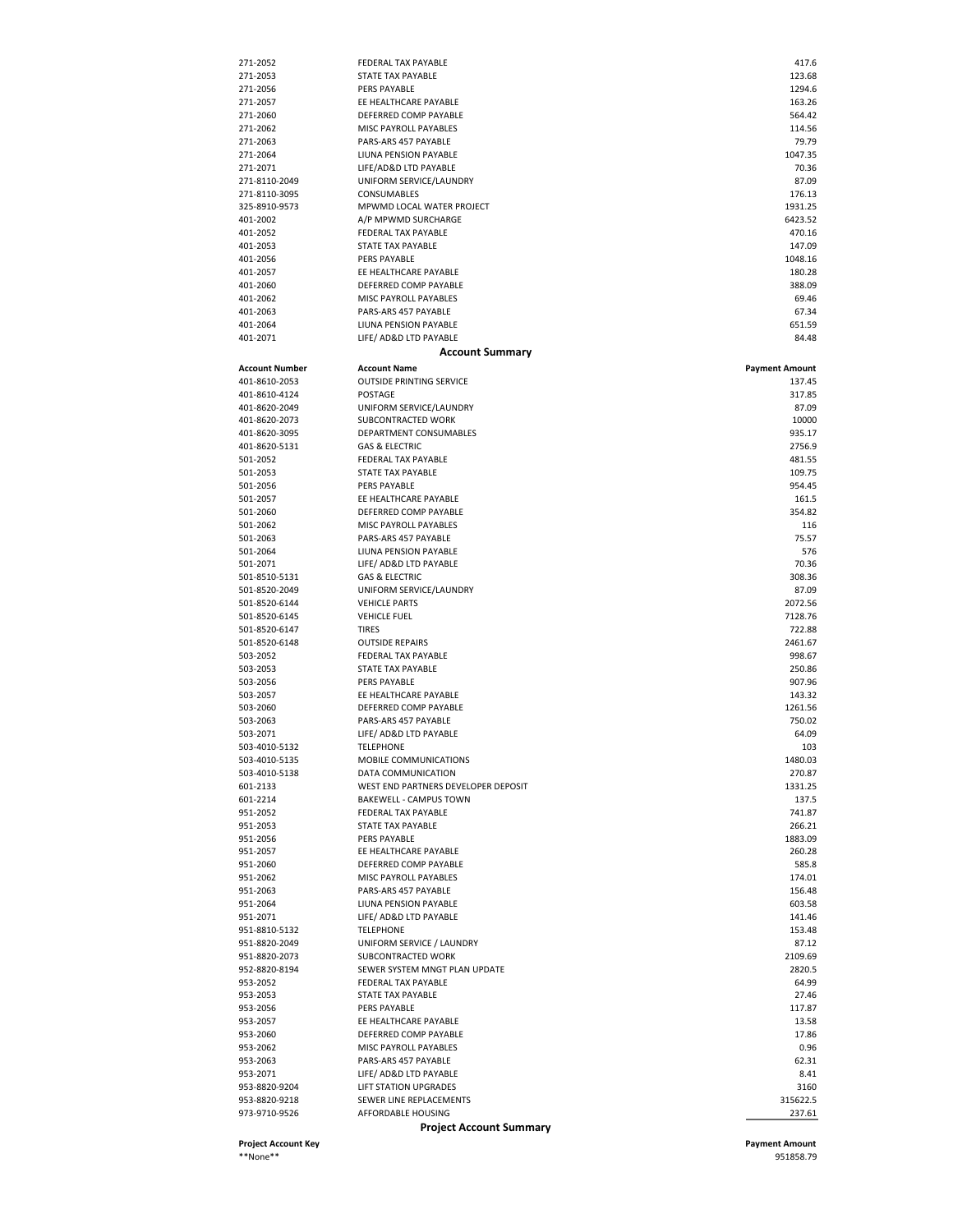| Project Account Key             |                                                 | <b>Payment Amount</b>           |
|---------------------------------|-------------------------------------------------|---------------------------------|
|                                 | <b>Project Account Summary</b>                  |                                 |
| 973-9710-9526                   | AFFORDABLE HOUSING                              | 237.61                          |
| 953-8820-9218                   | SEWER LINE REPLACEMENTS                         | 315622.5                        |
| 953-8820-9204                   | LIFT STATION UPGRADES                           | 3160                            |
| 953-2071                        | LIFE/ AD&D LTD PAYABLE                          | 8.41                            |
| 953-2063                        | PARS-ARS 457 PAYABLE                            | 62.31                           |
| 953-2062                        | MISC PAYROLL PAYABLES                           | 0.96                            |
| 953-2060                        | DEFERRED COMP PAYABLE                           | 17.86                           |
| 953-2056<br>953-2057            | EE HEALTHCARE PAYABLE                           | 117.87<br>13.58                 |
| 953-2053                        | STATE TAX PAYABLE<br>PERS PAYABLE               | 27.46                           |
| 953-2052                        | FEDERAL TAX PAYABLE                             | 64.99                           |
| 952-8820-8194                   | SEWER SYSTEM MNGT PLAN UPDATE                   | 2820.5                          |
| 951-8820-2073                   | SUBCONTRACTED WORK                              | 2109.69                         |
| 951-8820-2049                   | UNIFORM SERVICE / LAUNDRY                       | 87.12                           |
| 951-8810-5132                   | <b>TELEPHONE</b>                                | 153.48                          |
| 951-2071                        | LIFE/ AD&D LTD PAYABLE                          | 141.46                          |
| 951-2064                        | LIUNA PENSION PAYABLE                           | 603.58                          |
| 951-2063                        | PARS-ARS 457 PAYABLE                            | 156.48                          |
| 951-2062                        | MISC PAYROLL PAYABLES                           | 174.01                          |
| 951-2060                        | DEFERRED COMP PAYABLE                           | 585.8                           |
| 951-2057                        | EE HEALTHCARE PAYABLE                           | 260.28                          |
| 951-2056                        | PERS PAYABLE                                    | 1883.09                         |
| 951-2053                        | <b>STATE TAX PAYABLE</b>                        | 266.21                          |
| 951-2052                        | FEDERAL TAX PAYABLE                             | 741.87                          |
| 601-2214                        | BAKEWELL - CAMPUS TOWN                          | 137.5                           |
| 601-2133                        | WEST END PARTNERS DEVELOPER DEPOSIT             | 1331.25                         |
| 503-4010-5138                   | DATA COMMUNICATION                              | 270.87                          |
| 503-4010-5135                   | MOBILE COMMUNICATIONS                           | 1480.03                         |
| 503-4010-5132                   | <b>TELEPHONE</b>                                | 103                             |
| 503-2071                        | LIFE/ AD&D LTD PAYABLE                          | 64.09                           |
| 503-2063                        | PARS-ARS 457 PAYABLE                            | 750.02                          |
| 503-2060                        | DEFERRED COMP PAYABLE                           | 1261.56                         |
| 503-2057                        | EE HEALTHCARE PAYABLE                           | 143.32                          |
| 503-2056                        | PERS PAYABLE                                    | 907.96                          |
| 503-2053                        | STATE TAX PAYABLE                               | 250.86                          |
| 503-2052                        | FEDERAL TAX PAYABLE                             | 998.67                          |
| 501-8520-6148                   | <b>OUTSIDE REPAIRS</b>                          | 2461.67                         |
| 501-8520-6147                   | <b>TIRES</b>                                    | 722.88                          |
| 501-8520-6145                   | <b>VEHICLE FUEL</b>                             | 7128.76                         |
| 501-8520-2049<br>501-8520-6144  | UNIFORM SERVICE/LAUNDRY<br><b>VEHICLE PARTS</b> | 87.09<br>2072.56                |
| 501-8510-5131                   | <b>GAS &amp; ELECTRIC</b>                       | 308.36                          |
| 501-2071                        | LIFE/ AD&D LTD PAYABLE                          |                                 |
|                                 |                                                 | 70.36                           |
| 501-2064                        | LIUNA PENSION PAYABLE                           | 576                             |
| 501-2063                        | PARS-ARS 457 PAYABLE                            | 75.57                           |
| 501-2062                        | MISC PAYROLL PAYABLES                           | 116                             |
| 501-2060                        | DEFERRED COMP PAYABLE                           | 354.82                          |
| 501-2057                        | EE HEALTHCARE PAYABLE                           | 161.5                           |
| 501-2056                        | PERS PAYABLE                                    | 954.45                          |
| 501-2053                        | STATE TAX PAYABLE                               | 109.75                          |
| 501-2052                        | FEDERAL TAX PAYABLE                             | 481.55                          |
| 401-8620-5131                   | <b>GAS &amp; ELECTRIC</b>                       | 2756.9                          |
| 401-8620-3095                   | DEPARTMENT CONSUMABLES                          | 935.17                          |
| 401-8620-2073                   | SUBCONTRACTED WORK                              | 10000                           |
| 401-8620-2049                   | UNIFORM SERVICE/LAUNDRY                         | 87.09                           |
| 401-8610-4124                   | POSTAGE                                         | 317.85                          |
| Account Number<br>401-8610-2053 | <b>OUTSIDE PRINTING SERVICE</b>                 | <b>Payment Amount</b><br>137.45 |
|                                 | <b>Account Name</b>                             |                                 |
|                                 | <b>Account Summary</b>                          |                                 |
| 401-2071                        | LIFE/ AD&D LTD PAYABLE                          | 84.48                           |
| 401-2064                        | LIUNA PENSION PAYABLE                           | 651.59                          |
| 401-2063                        | PARS-ARS 457 PAYABLE                            | 67.34                           |
| 401-2062                        | MISC PAYROLL PAYABLES                           | 69.46                           |
| 401-2060                        | DEFERRED COMP PAYABLE                           | 388.09                          |
| 401-2057                        | EE HEALTHCARE PAYABLE                           | 180.28                          |
| 401-2056                        | PERS PAYABLE                                    | 1048.16                         |
| 401-2053                        | STATE TAX PAYABLE                               | 147.09                          |
| 401-2052                        | FEDERAL TAX PAYABLE                             | 470.16                          |
| 401-2002                        | A/P MPWMD SURCHARGE                             | 6423.52                         |
| 325-8910-9573                   | MPWMD LOCAL WATER PROJECT                       | 1931.25                         |
| 271-8110-2049<br>271-8110-3095  | CONSUMABLES                                     | 176.13                          |
| 271-2071                        | UNIFORM SERVICE/LAUNDRY                         | 87.09                           |
| 271-2064                        | LIUNA PENSION PAYABLE<br>LIFE/AD&D LTD PAYABLE  | 1047.35<br>70.36                |
| 271-2063                        | PARS-ARS 457 PAYABLE                            | 79.79                           |
| 271-2062                        | MISC PAYROLL PAYABLES                           | 114.56                          |
| 271-2060                        | DEFERRED COMP PAYABLE                           | 564.42                          |
| 271-2057                        | EE HEALTHCARE PAYABLE                           | 163.26                          |
| 271-2056                        | PERS PAYABLE                                    | 1294.6                          |
| 271-2053                        | STATE TAX PAYABLE                               | 123.68                          |
| 271-2052                        | FEDERAL TAX PAYABLE                             | 417.6                           |

\*\*None\*\* 951858.79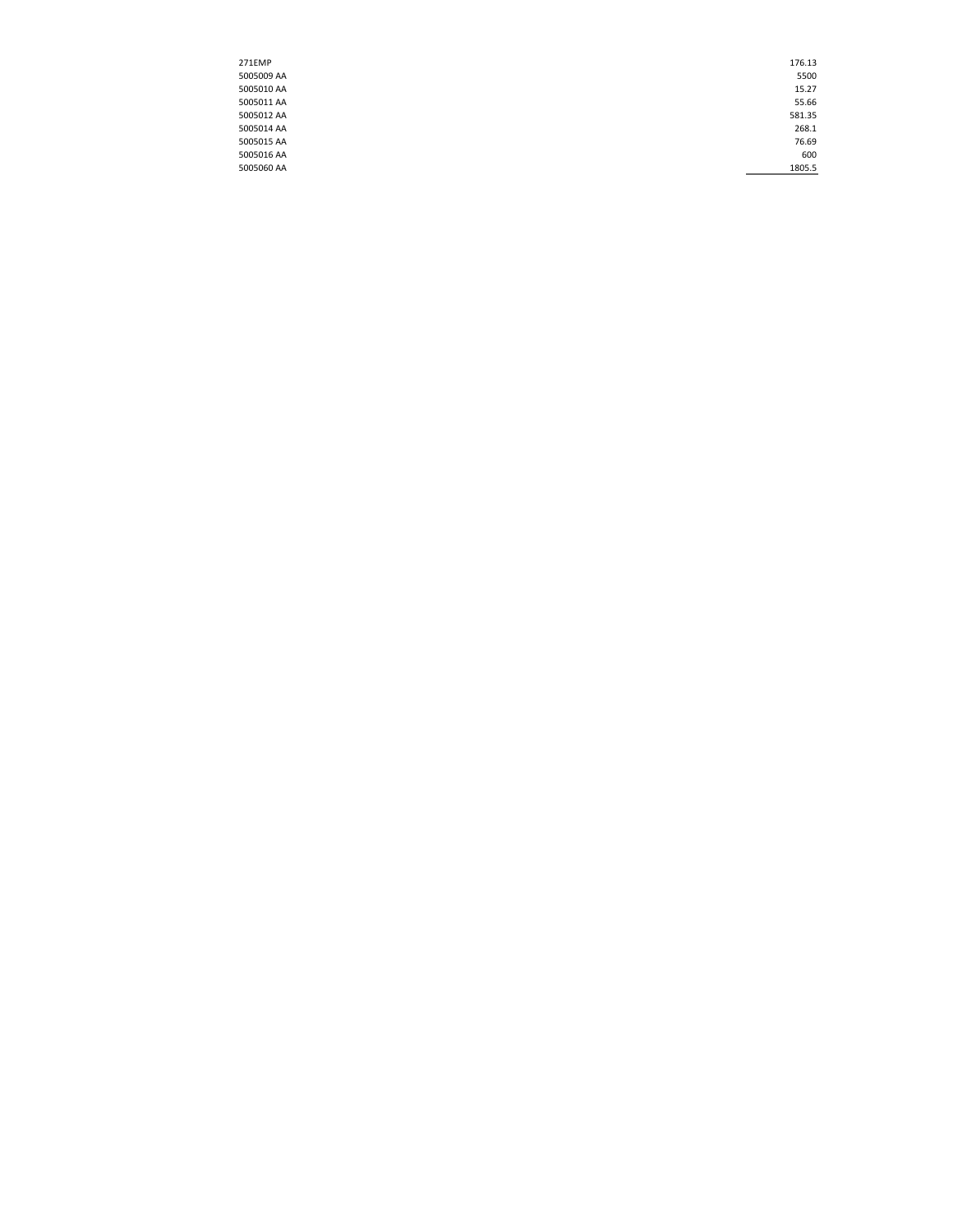| 271EMP     | 176.13 |
|------------|--------|
| 5005009 AA | 5500   |
| 5005010 AA | 15.27  |
| 5005011 AA | 55.66  |
| 5005012 AA | 581.35 |
| 5005014 AA | 268.1  |
| 5005015 AA | 76.69  |
| 5005016 AA | 600    |
| 5005060 AA | 1805.5 |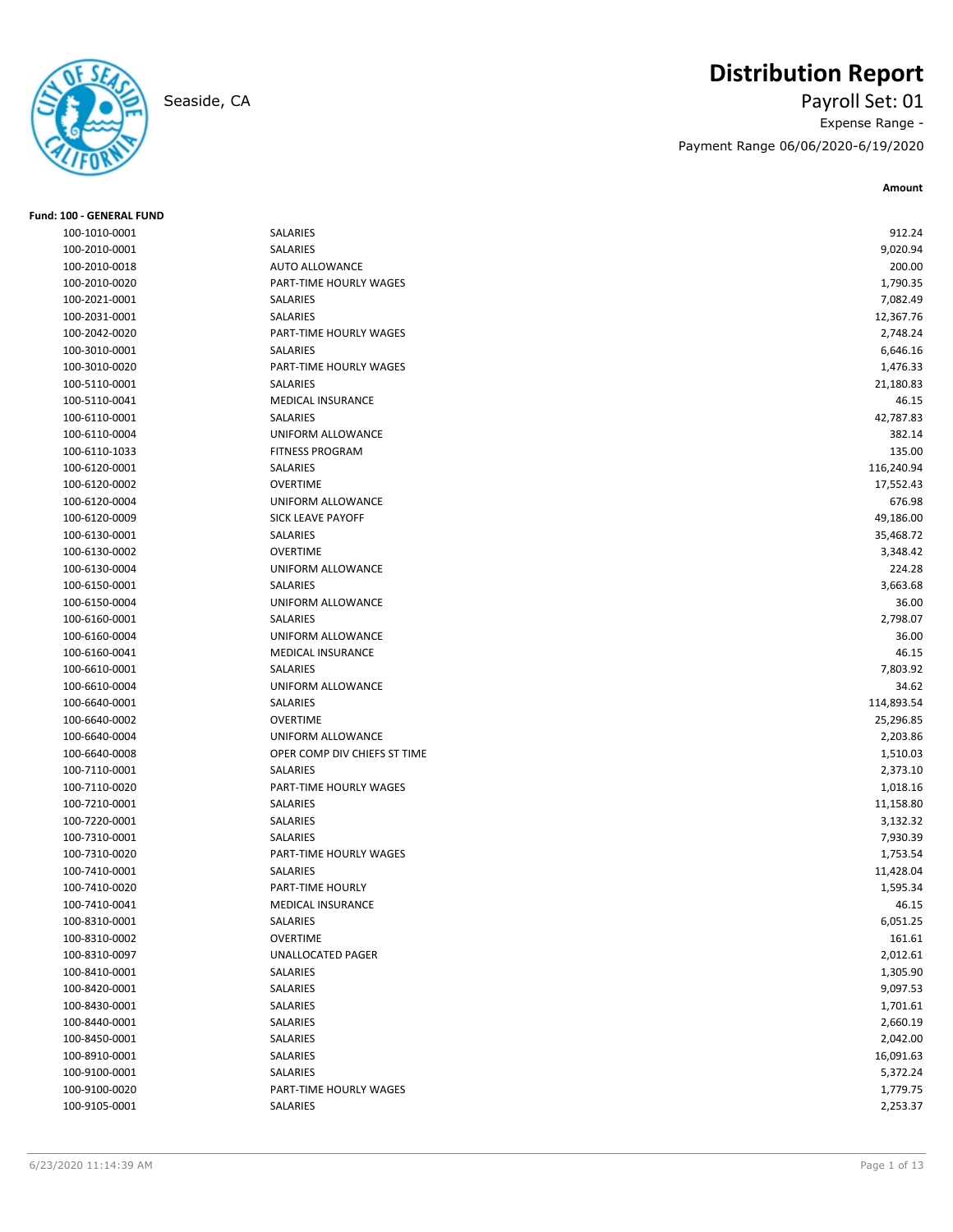

# **Distribution Report**

Seaside, CA Payroll Set: 01 Expense Range - Payment Range 06/06/2020-6/19/2020

| <b>Fund: 100 - GENERAL FUND</b> |                              |            |
|---------------------------------|------------------------------|------------|
| 100-1010-0001                   | <b>SALARIES</b>              | 912.24     |
| 100-2010-0001                   | SALARIES                     | 9,020.94   |
| 100-2010-0018                   | AUTO ALLOWANCE               | 200.00     |
| 100-2010-0020                   | PART-TIME HOURLY WAGES       | 1,790.35   |
| 100-2021-0001                   | SALARIES                     | 7,082.49   |
| 100-2031-0001                   | SALARIES                     | 12,367.76  |
| 100-2042-0020                   | PART-TIME HOURLY WAGES       | 2,748.24   |
| 100-3010-0001                   | SALARIES                     | 6,646.16   |
| 100-3010-0020                   | PART-TIME HOURLY WAGES       | 1,476.33   |
| 100-5110-0001                   | SALARIES                     | 21,180.83  |
| 100-5110-0041                   | <b>MEDICAL INSURANCE</b>     | 46.15      |
| 100-6110-0001                   | SALARIES                     | 42,787.83  |
| 100-6110-0004                   | UNIFORM ALLOWANCE            | 382.14     |
| 100-6110-1033                   | <b>FITNESS PROGRAM</b>       | 135.00     |
| 100-6120-0001                   | SALARIES                     | 116,240.94 |
| 100-6120-0002                   | <b>OVERTIME</b>              | 17,552.43  |
| 100-6120-0004                   | UNIFORM ALLOWANCE            | 676.98     |
| 100-6120-0009                   | <b>SICK LEAVE PAYOFF</b>     | 49,186.00  |
| 100-6130-0001                   | SALARIES                     | 35,468.72  |
| 100-6130-0002                   | <b>OVERTIME</b>              | 3,348.42   |
| 100-6130-0004                   | UNIFORM ALLOWANCE            | 224.28     |
| 100-6150-0001                   | <b>SALARIES</b>              | 3,663.68   |
| 100-6150-0004                   | UNIFORM ALLOWANCE            | 36.00      |
| 100-6160-0001                   | SALARIES                     | 2,798.07   |
| 100-6160-0004                   | UNIFORM ALLOWANCE            | 36.00      |
| 100-6160-0041                   | <b>MEDICAL INSURANCE</b>     | 46.15      |
| 100-6610-0001                   | SALARIES                     | 7,803.92   |
| 100-6610-0004                   | UNIFORM ALLOWANCE            | 34.62      |
| 100-6640-0001                   | SALARIES                     | 114,893.54 |
| 100-6640-0002                   | <b>OVERTIME</b>              | 25,296.85  |
| 100-6640-0004                   | UNIFORM ALLOWANCE            | 2,203.86   |
| 100-6640-0008                   | OPER COMP DIV CHIEFS ST TIME | 1,510.03   |
| 100-7110-0001                   | SALARIES                     | 2,373.10   |
| 100-7110-0020                   | PART-TIME HOURLY WAGES       | 1,018.16   |
| 100-7210-0001                   | SALARIES                     | 11,158.80  |
| 100-7220-0001                   | SALARIES                     | 3,132.32   |
| 100-7310-0001                   | SALARIES                     | 7,930.39   |
| 100-7310-0020                   | PART-TIME HOURLY WAGES       | 1,753.54   |
| 100-7410-0001                   | SALARIES                     | 11,428.04  |
| 100-7410-0020                   | PART-TIME HOURLY             | 1,595.34   |
| 100-7410-0041                   | MEDICAL INSURANCE            | 46.15      |
| 100-8310-0001                   | SALARIES                     | 6,051.25   |
| 100-8310-0002                   | <b>OVERTIME</b>              | 161.61     |
| 100-8310-0097                   | UNALLOCATED PAGER            | 2,012.61   |
| 100-8410-0001                   | SALARIES                     | 1,305.90   |
| 100-8420-0001                   | SALARIES                     | 9,097.53   |
| 100-8430-0001                   | SALARIES                     | 1,701.61   |
| 100-8440-0001                   | SALARIES                     | 2,660.19   |
| 100-8450-0001                   | SALARIES                     | 2,042.00   |
| 100-8910-0001                   | SALARIES                     | 16,091.63  |
| 100-9100-0001                   | SALARIES                     | 5,372.24   |
| 100-9100-0020                   | PART-TIME HOURLY WAGES       | 1,779.75   |
| 100-9105-0001                   | SALARIES                     | 2,253.37   |
|                                 |                              |            |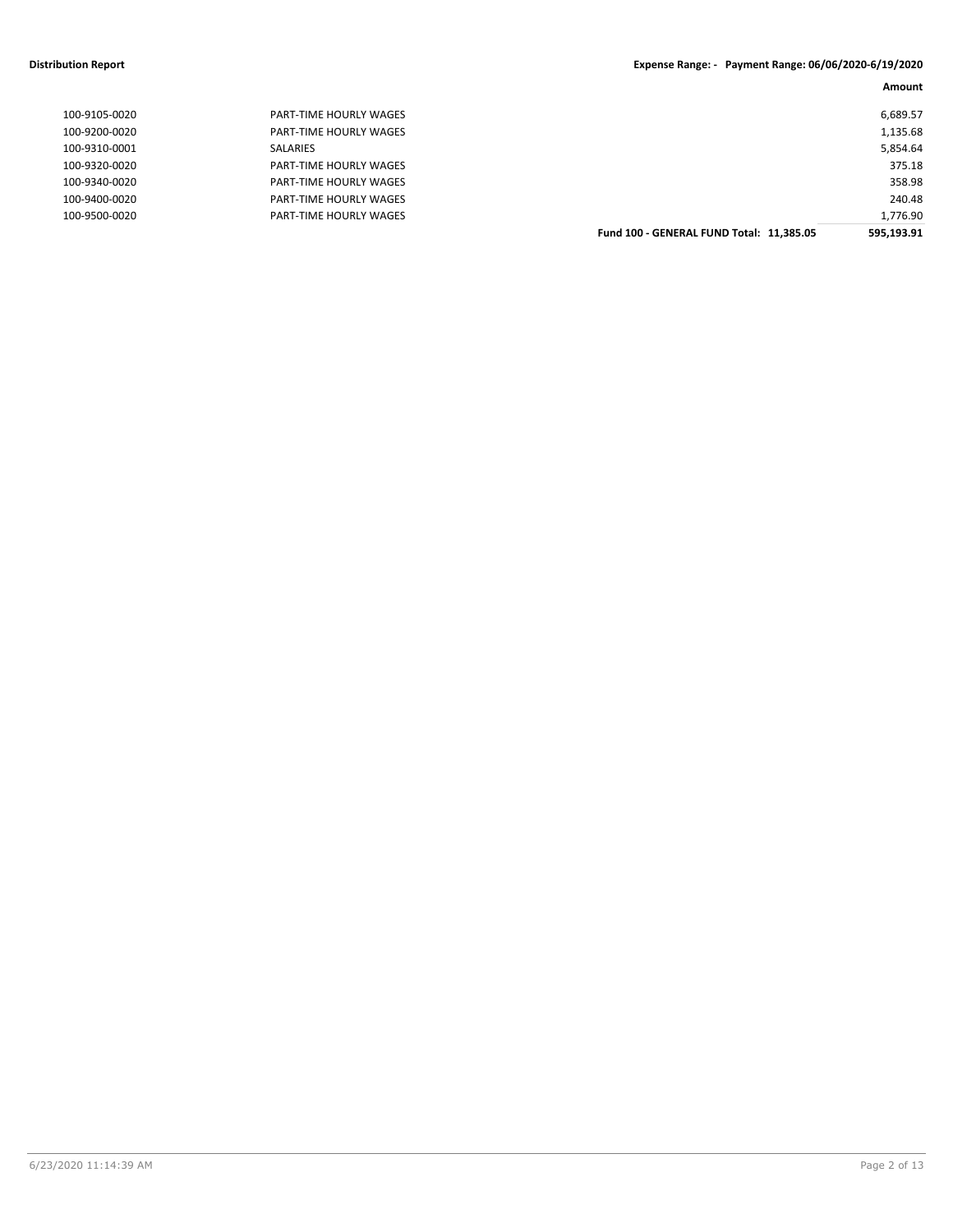#### **Distribution Report Expense Range: - Payment Range: 06/06/2020-6/19/2020**

|               |                        |                                          | Amount     |
|---------------|------------------------|------------------------------------------|------------|
| 100-9105-0020 | PART-TIME HOURLY WAGES |                                          | 6,689.57   |
| 100-9200-0020 | PART-TIME HOURLY WAGES |                                          | 1,135.68   |
| 100-9310-0001 | SALARIES               |                                          | 5,854.64   |
| 100-9320-0020 | PART-TIME HOURLY WAGES |                                          | 375.18     |
| 100-9340-0020 | PART-TIME HOURLY WAGES |                                          | 358.98     |
| 100-9400-0020 | PART-TIME HOURLY WAGES |                                          | 240.48     |
| 100-9500-0020 | PART-TIME HOURLY WAGES |                                          | 1,776.90   |
|               |                        | Fund 100 - GENERAL FUND Total: 11,385.05 | 595,193.91 |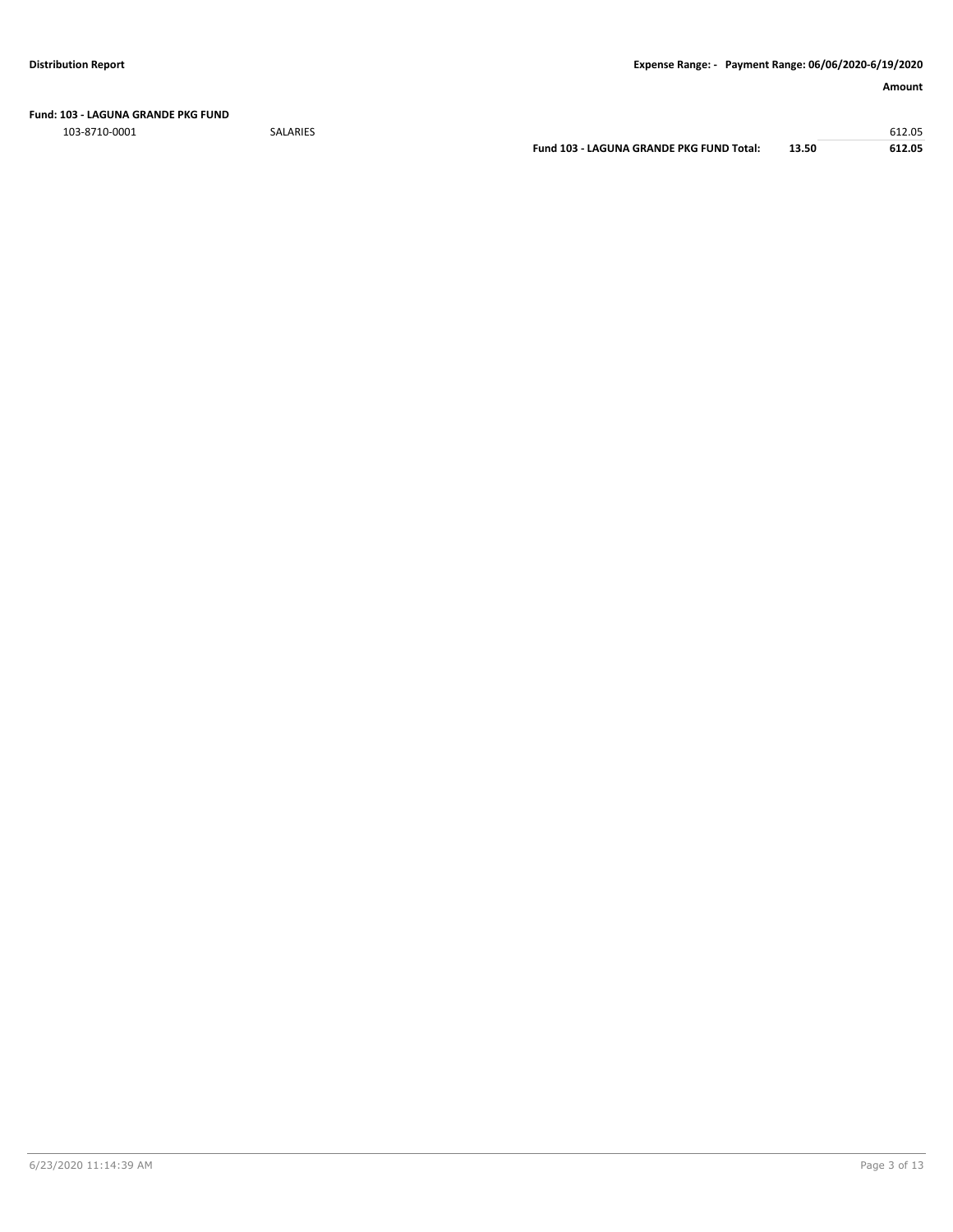**Fund: 103 - LAGUNA GRANDE PKG FUND**

103-8710-0001 SALARIES 612.05

**Fund 103 - LAGUNA GRANDE PKG FUND Total: 13.50 612.05**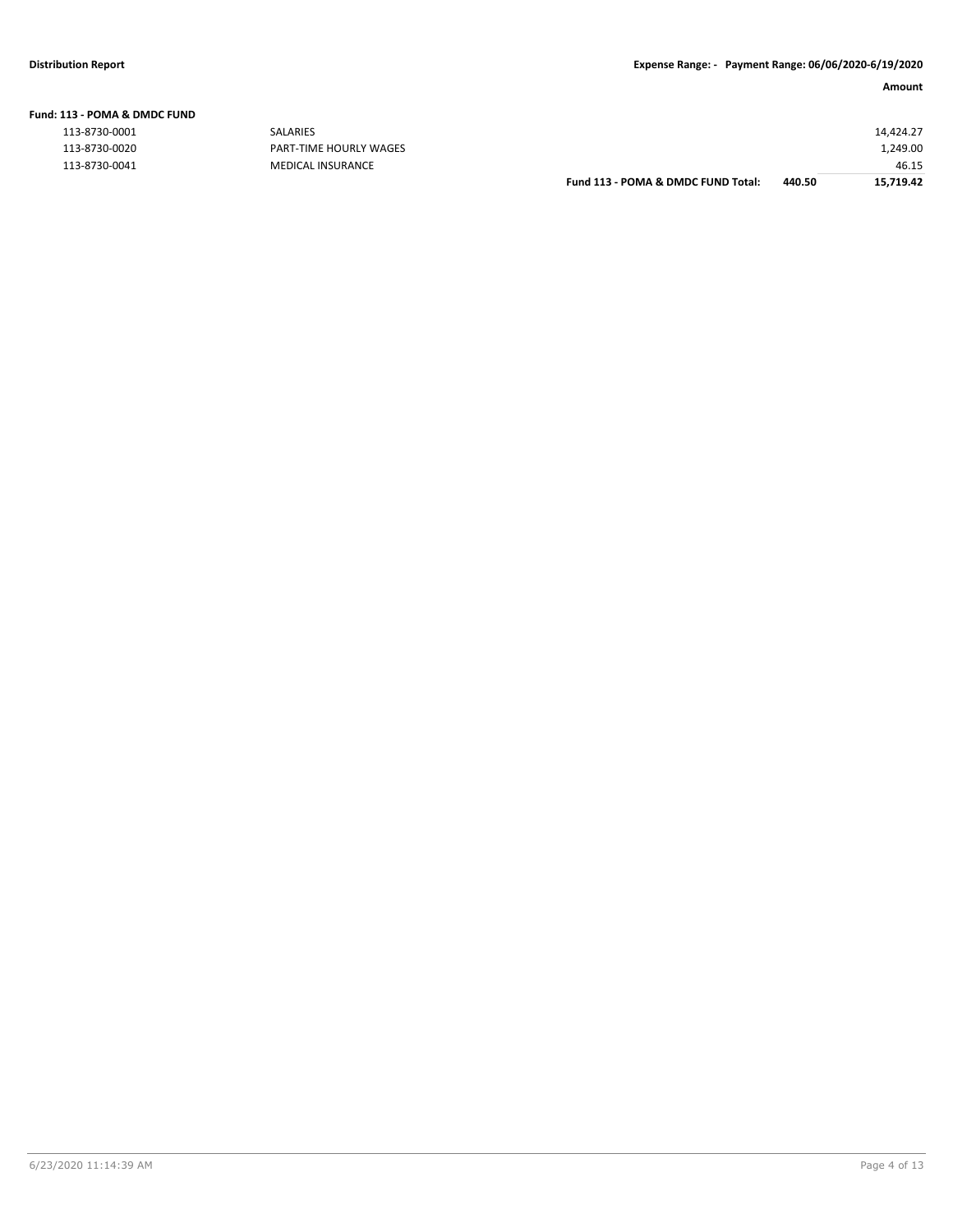#### **Fund: 113 - POMA & DMDC FUND**

| 113-8730-0001 |  |
|---------------|--|
| 113-8730-0020 |  |
| 113-8730-0041 |  |

| . 19 - 1 0 IVIA G. DIVIDE I 0 IVD |                        |                                    |        |           |
|-----------------------------------|------------------------|------------------------------------|--------|-----------|
| 113-8730-0001                     | <b>SALARIES</b>        |                                    |        | 14.424.27 |
| 113-8730-0020                     | PART-TIME HOURLY WAGES |                                    |        | 1,249.00  |
| 113-8730-0041                     | MEDICAL INSURANCE      |                                    |        | 46.15     |
|                                   |                        | Fund 113 - POMA & DMDC FUND Total: | 440.50 | 15,719.42 |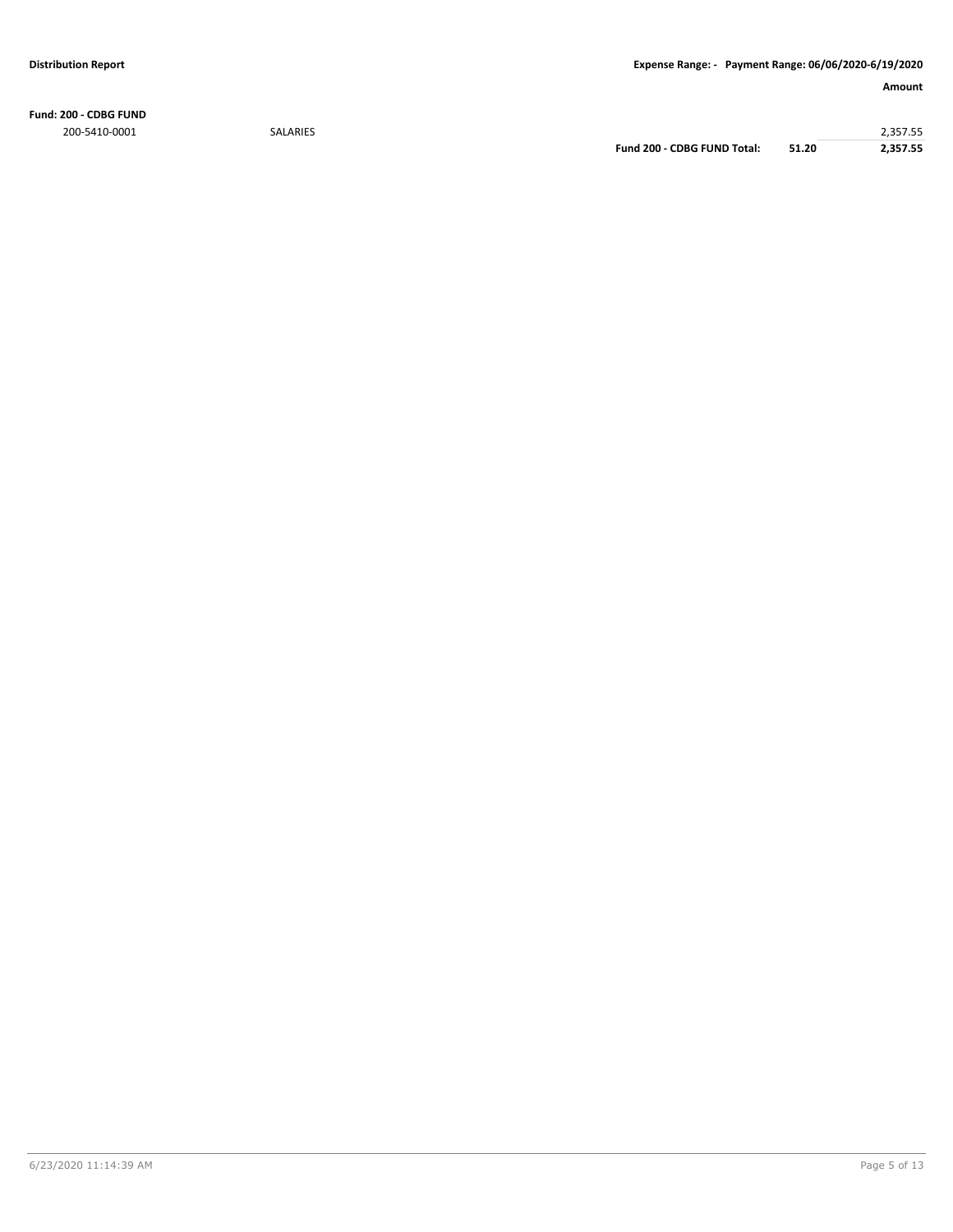**Fund: 200 - CDBG FUND** 200-5410-0001 SALARIES 2,357.55

**Fund 200 - CDBG FUND Total: 51.20 2,357.55**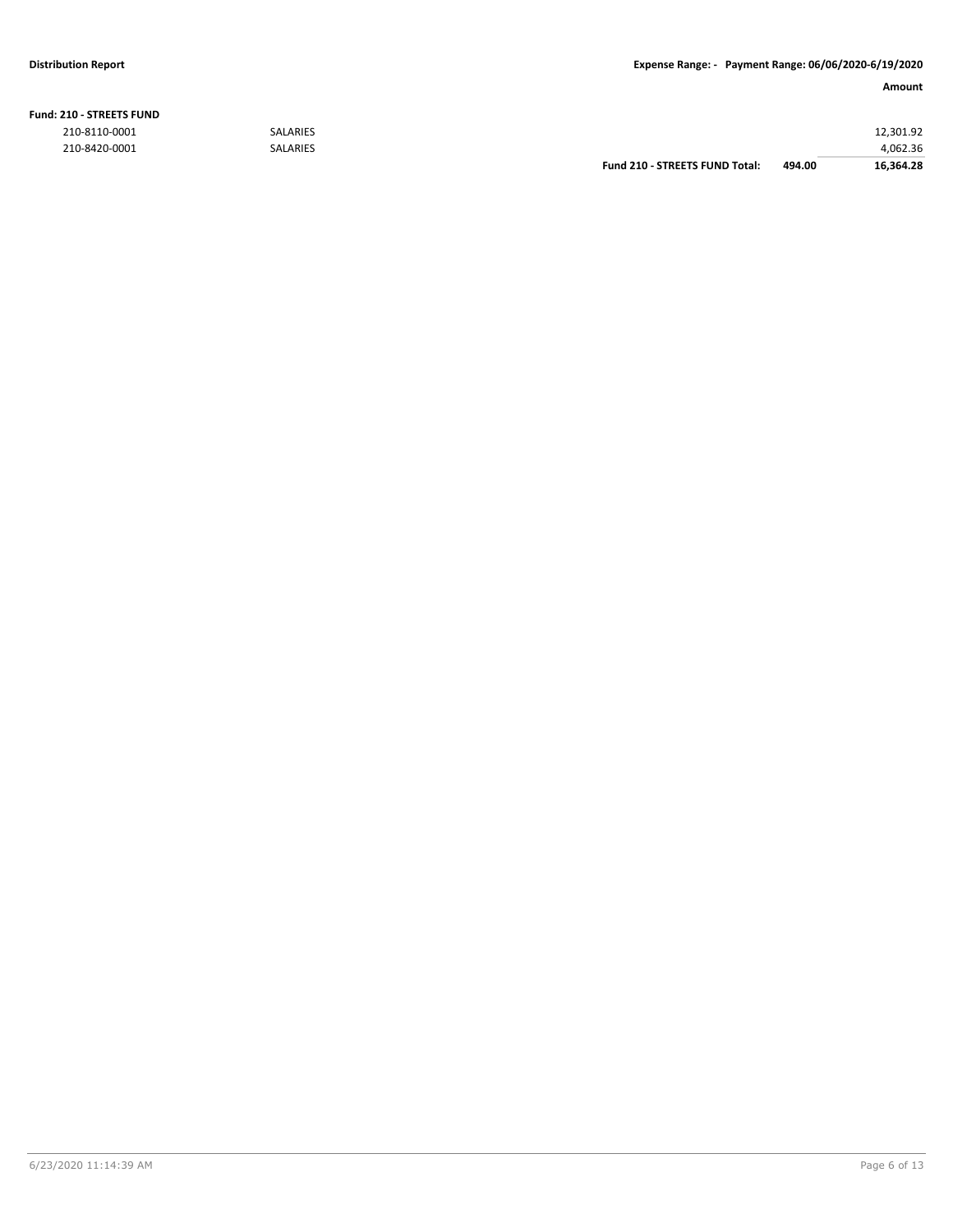#### **Distribution Report Expense Range: - Payment Range: 06/06/2020-6/19/2020**

| <b>Fund: 210 - STREETS FUND</b> |  |
|---------------------------------|--|
|---------------------------------|--|

|               |                 | Fund 210 - STREETS FUND Total: | 494.00 | 16.364.28 |
|---------------|-----------------|--------------------------------|--------|-----------|
| 210-8420-0001 | <b>SALARIES</b> |                                |        | 4,062.36  |
| 210-8110-0001 | <b>SALARIES</b> |                                |        | 12,301.92 |
|               |                 |                                |        |           |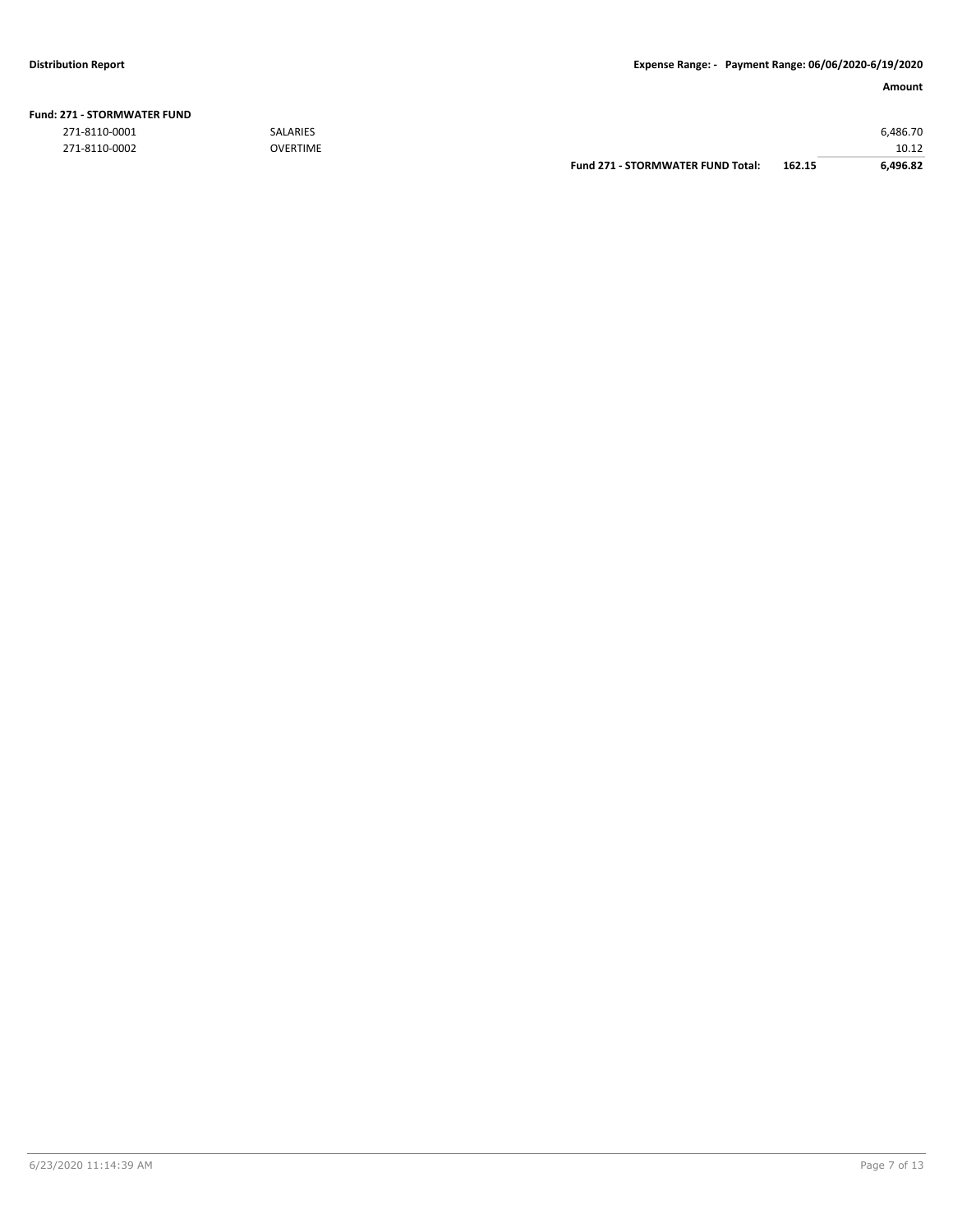|                       |                 | <b>Fund 271 - STORMWATER FUND Total:</b> | 162.15 | 6.496.82 |
|-----------------------|-----------------|------------------------------------------|--------|----------|
| 271-8110-0002         | <b>OVERTIME</b> |                                          |        | 10.12    |
| 271-8110-0001         | <b>SALARIES</b> |                                          |        | 6.486.70 |
| !71 - STORMWATER FUND |                 |                                          |        |          |

### **Fund: 271 - STORMWATER FUND**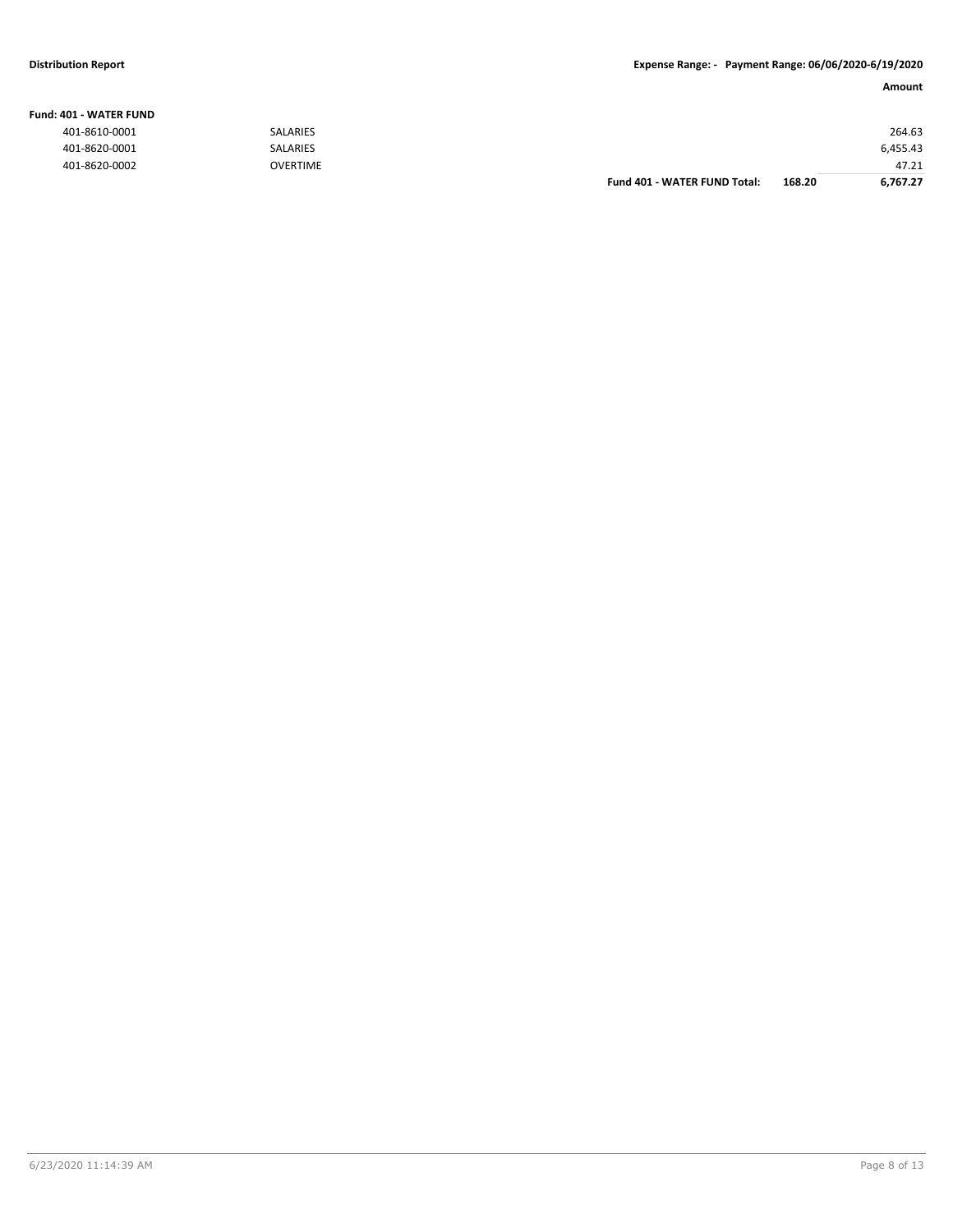#### **Fund: 401 - WATER FUND**

| 401-8610-0001 | <b>SALARIES</b> |                              |        | 264.63   |
|---------------|-----------------|------------------------------|--------|----------|
| 401-8620-0001 | SALARIES        |                              |        | 6,455.43 |
| 401-8620-0002 | <b>OVERTIME</b> |                              |        | 47.21    |
|               |                 | Fund 401 - WATER FUND Total: | 168.20 | 6,767.27 |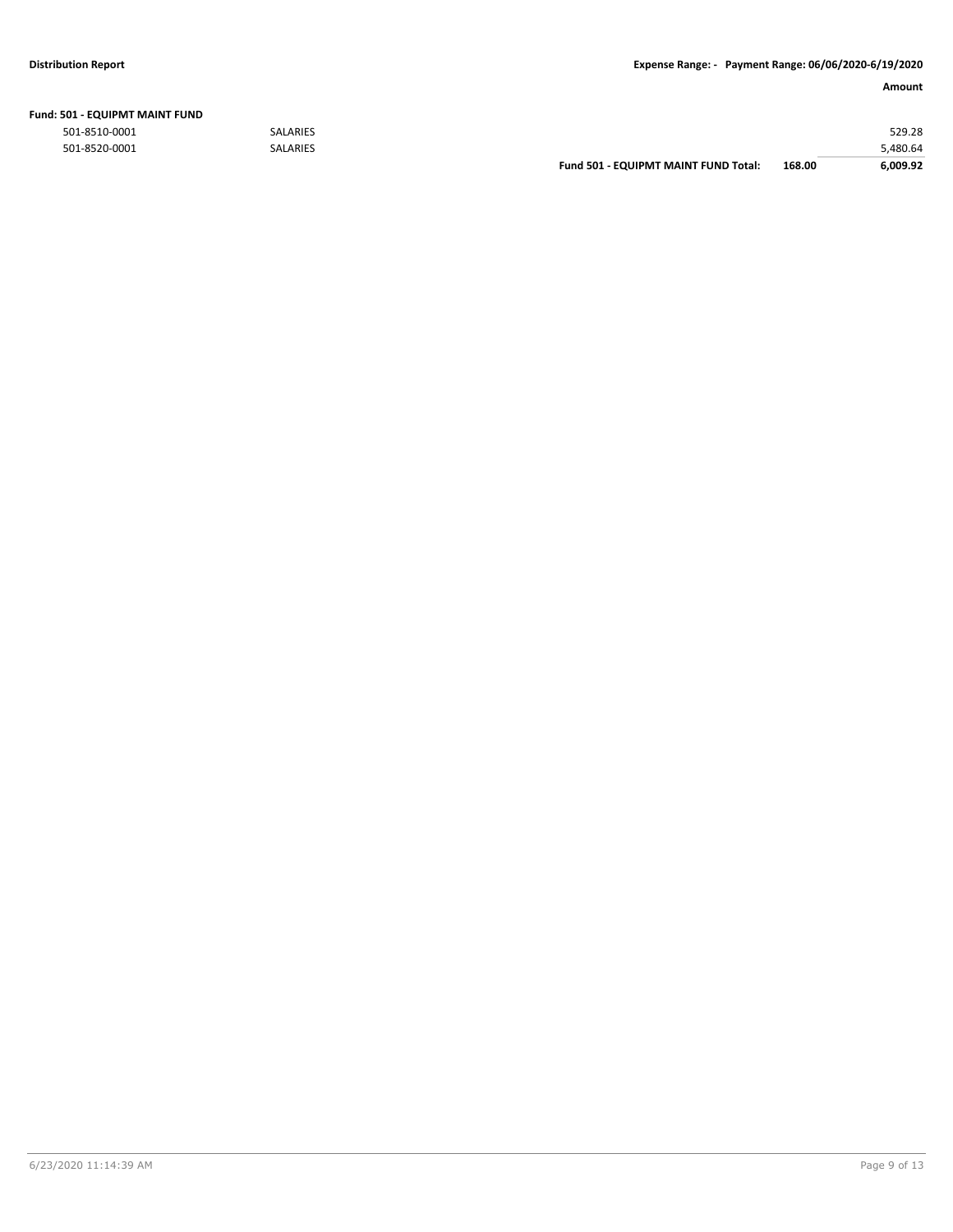|               |          | <b>Fund 501 - EQUIPMT MAINT FUND Total:</b> | 168.00 | 6.009.92 |
|---------------|----------|---------------------------------------------|--------|----------|
| 501-8520-0001 | SALARIES |                                             |        | 480.64,د |
| 501-8510-0001 | SALARIES |                                             |        | 529.28   |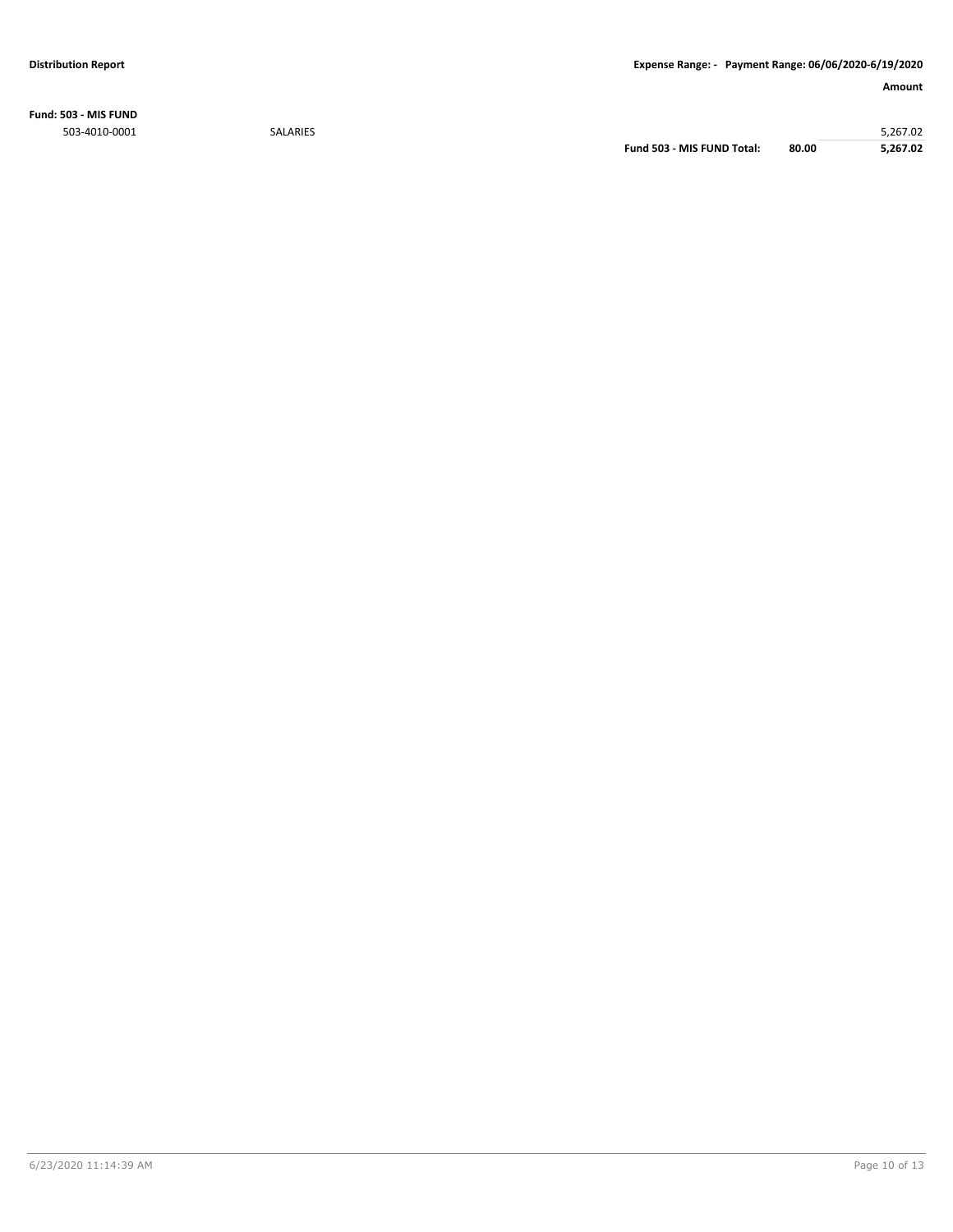**Fund: 503 - MIS FUND** 503-4010-0001 SALARIES 5,267.02

**Fund 503 - MIS FUND Total: 80.00 5,267.02**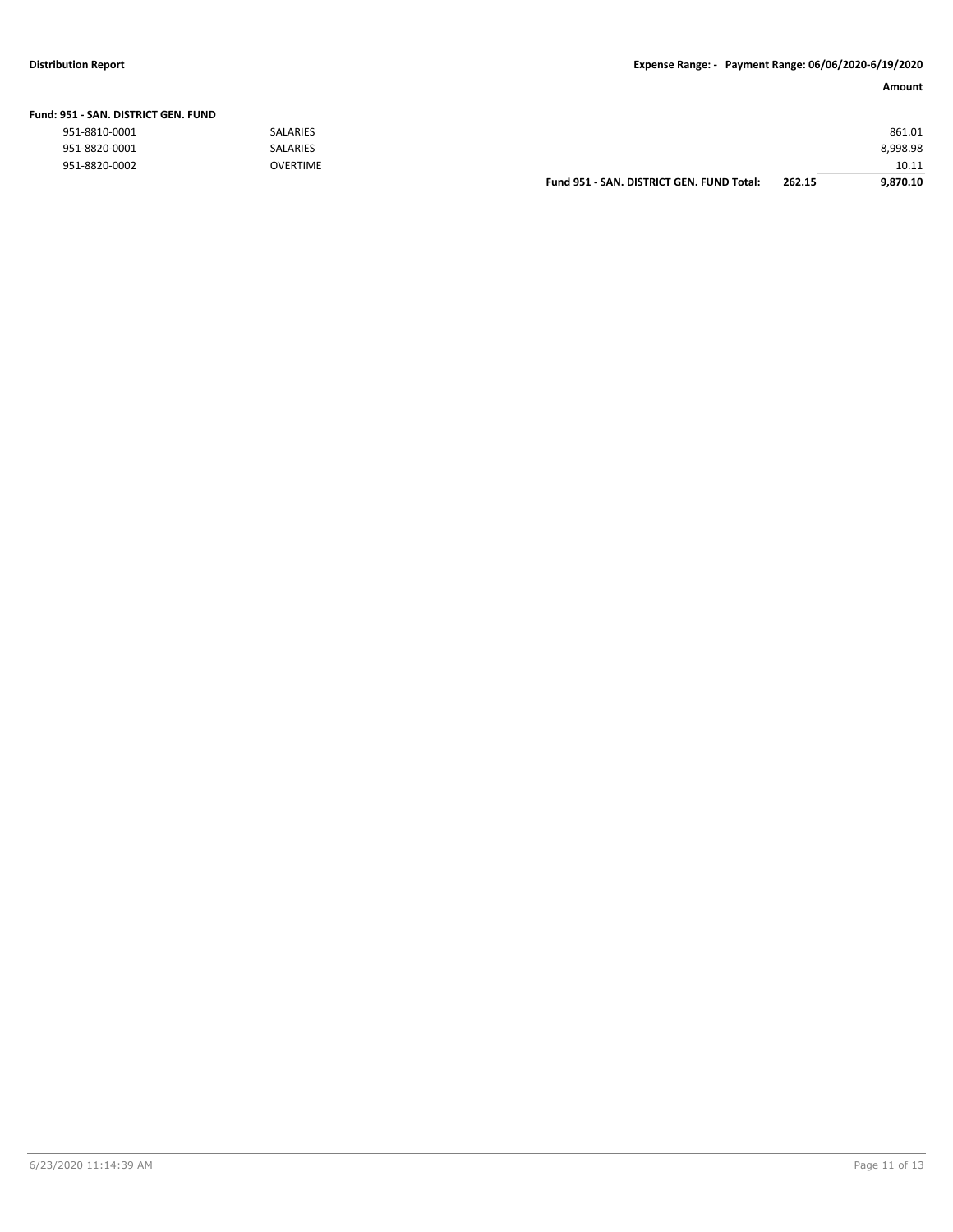#### **Distribution Report Expense Range: - Payment Range: 06/06/2020-6/19/2020**

| Fund: 951 - SAN. DISTRICT GEN. FUND |                 |                                           |        |          |
|-------------------------------------|-----------------|-------------------------------------------|--------|----------|
| 951-8810-0001                       | <b>SALARIES</b> |                                           |        | 861.01   |
| 951-8820-0001                       | <b>SALARIES</b> |                                           |        | 8,998.98 |
| 951-8820-0002                       | <b>OVERTIME</b> |                                           |        | 10.11    |
|                                     |                 | Fund 951 - SAN, DISTRICT GEN, FUND Total: | 262.15 | 9.870.10 |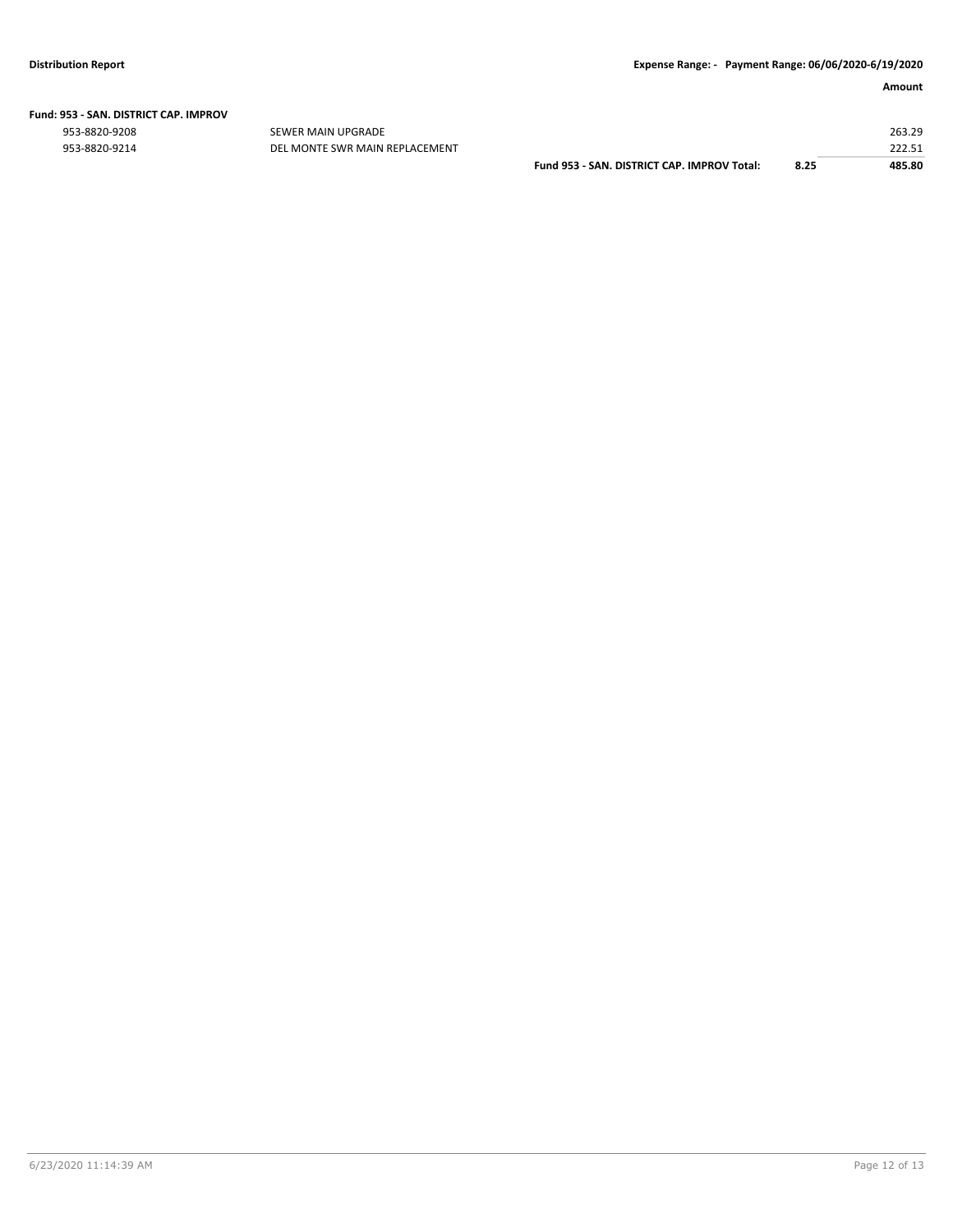|  | Fund: 953 - SAN. DISTRICT CAP. IMPROV |  |
|--|---------------------------------------|--|
|  |                                       |  |

953-8820-9208 SEWER MAIN UPGRADE 263.29

| 953-8820-9214 | DEL MONTE SWR MAIN REPLACEMENT |                                                    |      | 222E<br>444.5. |
|---------------|--------------------------------|----------------------------------------------------|------|----------------|
|               |                                | Fund 953 -<br>: - SAN. DISTRICT CAP. IMPROV Total: | 8.25 | 485.80         |